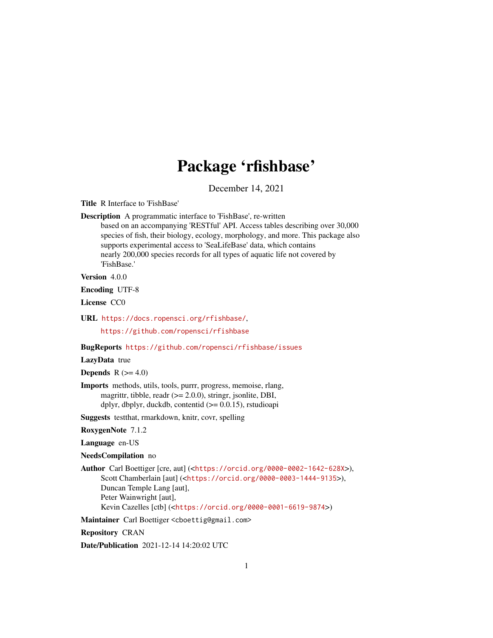# Package 'rfishbase'

December 14, 2021

Title R Interface to 'FishBase'

Description A programmatic interface to 'FishBase', re-written

based on an accompanying 'RESTful' API. Access tables describing over 30,000 species of fish, their biology, ecology, morphology, and more. This package also supports experimental access to 'SeaLifeBase' data, which contains nearly 200,000 species records for all types of aquatic life not covered by 'FishBase.'

Version 4.0.0

Encoding UTF-8

License CC0

URL <https://docs.ropensci.org/rfishbase/>,

<https://github.com/ropensci/rfishbase>

BugReports <https://github.com/ropensci/rfishbase/issues>

# LazyData true

Depends  $R$  ( $>= 4.0$ )

Imports methods, utils, tools, purrr, progress, memoise, rlang, magrittr, tibble, readr  $(>= 2.0.0)$ , stringr, jsonlite, DBI, dplyr, dbplyr, duckdb, contentid  $(>= 0.0.15)$ , rstudioapi

Suggests testthat, rmarkdown, knitr, covr, spelling

RoxygenNote 7.1.2

Language en-US

NeedsCompilation no

Author Carl Boettiger [cre, aut] (<<https://orcid.org/0000-0002-1642-628X>>), Scott Chamberlain [aut] (<<https://orcid.org/0000-0003-1444-9135>>), Duncan Temple Lang [aut], Peter Wainwright [aut], Kevin Cazelles [ctb] (<<https://orcid.org/0000-0001-6619-9874>>)

Maintainer Carl Boettiger <cboettig@gmail.com>

Repository CRAN

Date/Publication 2021-12-14 14:20:02 UTC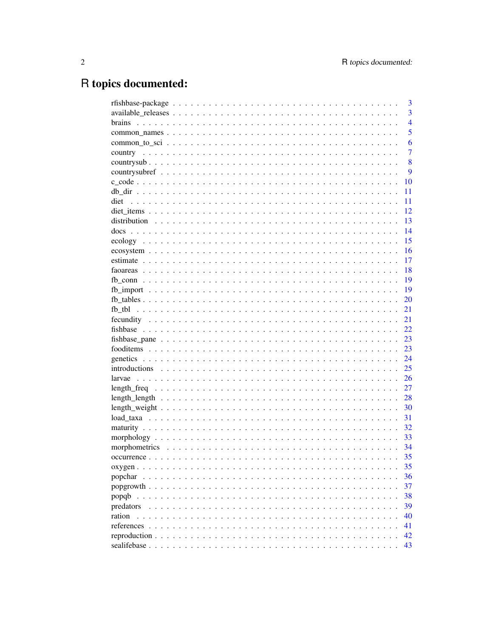# R topics documented:

|            | 3              |
|------------|----------------|
|            | $\overline{3}$ |
|            | $\overline{4}$ |
|            | 5              |
|            | 6              |
|            | $\overline{7}$ |
|            | 8              |
|            | 9              |
|            | 10             |
|            | 11             |
| diet       | 11             |
|            | 12             |
|            | 13             |
|            | 14             |
|            | 15             |
|            | 16             |
|            | 17             |
|            | 18             |
|            | 19             |
|            | 19             |
|            | 20             |
|            | 21             |
|            | 21             |
|            | 22             |
|            | 23             |
|            | 23             |
|            | 24             |
|            | 25             |
|            | 26             |
|            | 27             |
|            | 28             |
|            | 30             |
|            | 31             |
|            | 32             |
|            | 33             |
|            | 34             |
|            | 35             |
|            |                |
|            | 35<br>36       |
| popchar    |                |
|            | 37             |
| popqb      | 38             |
| predators  | 39             |
| ration     | 40             |
| references | 41             |
|            | 42             |
|            | 43             |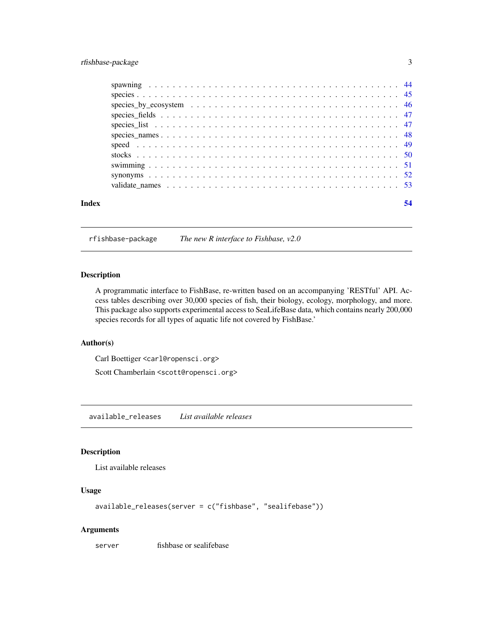# <span id="page-2-0"></span>rfishbase-package 3

| species_by_ecosystem $\dots \dots \dots \dots \dots \dots \dots \dots \dots \dots \dots \dots \dots \dots \dots \dots$ |
|------------------------------------------------------------------------------------------------------------------------|

rfishbase-package *The new R interface to Fishbase, v2.0*

# Description

A programmatic interface to FishBase, re-written based on an accompanying 'RESTful' API. Access tables describing over 30,000 species of fish, their biology, ecology, morphology, and more. This package also supports experimental access to SeaLifeBase data, which contains nearly 200,000 species records for all types of aquatic life not covered by FishBase.'

# Author(s)

Carl Boettiger <carl@ropensci.org>

Scott Chamberlain <scott@ropensci.org>

available\_releases *List available releases*

# Description

List available releases

# Usage

```
available_releases(server = c("fishbase", "sealifebase"))
```
#### Arguments

server fishbase or sealifebase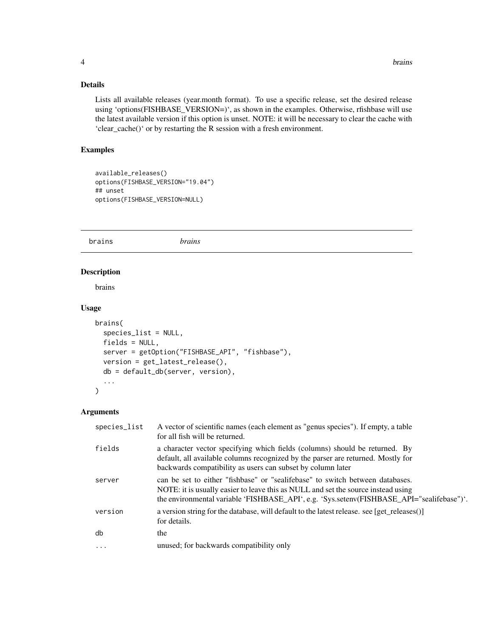# <span id="page-3-0"></span>Details

Lists all available releases (year.month format). To use a specific release, set the desired release using 'options(FISHBASE\_VERSION=)', as shown in the examples. Otherwise, rfishbase will use the latest available version if this option is unset. NOTE: it will be necessary to clear the cache with 'clear\_cache()' or by restarting the R session with a fresh environment.

#### Examples

```
available_releases()
options(FISHBASE_VERSION="19.04")
## unset
options(FISHBASE_VERSION=NULL)
```
brains *brains*

#### Description

brains

#### Usage

```
brains(
  species_list = NULL,
  fields = NULL,server = getOption("FISHBASE_API", "fishbase"),
  version = get_latest_release(),
  db = default_db(server, version),
  ...
\mathcal{E}
```

| species_list | A vector of scientific names (each element as "genus species"). If empty, a table<br>for all fish will be returned.                                                                                                                                             |
|--------------|-----------------------------------------------------------------------------------------------------------------------------------------------------------------------------------------------------------------------------------------------------------------|
| fields       | a character vector specifying which fields (columns) should be returned. By<br>default, all available columns recognized by the parser are returned. Mostly for<br>backwards compatibility as users can subset by column later                                  |
| server       | can be set to either "fishbase" or "sealifebase" to switch between databases.<br>NOTE: it is usually easier to leave this as NULL and set the source instead using<br>the environmental variable 'FISHBASE_API', e.g. 'Sys.setenv(FISHBASE_API="sealifebase")'. |
| version      | a version string for the database, will default to the latest release, see [get releases()]<br>for details.                                                                                                                                                     |
| db           | the                                                                                                                                                                                                                                                             |
| $\cdots$     | unused; for backwards compatibility only                                                                                                                                                                                                                        |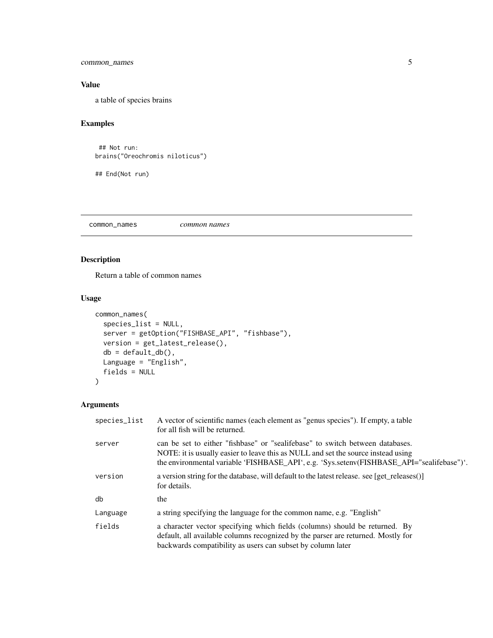<span id="page-4-0"></span>common\_names 5

# Value

a table of species brains

# Examples

```
## Not run:
brains("Oreochromis niloticus")
```
## End(Not run)

common\_names *common names*

# Description

Return a table of common names

#### Usage

```
common_names(
  species_list = NULL,
 server = getOption("FISHBASE_API", "fishbase"),
 version = get_latest_release(),
 db = default_dbb(),Language = "English",
 fields = NULL
)
```

| species_list | A vector of scientific names (each element as "genus species"). If empty, a table<br>for all fish will be returned.                                                                                                                                             |
|--------------|-----------------------------------------------------------------------------------------------------------------------------------------------------------------------------------------------------------------------------------------------------------------|
| server       | can be set to either "fishbase" or "sealifebase" to switch between databases.<br>NOTE: it is usually easier to leave this as NULL and set the source instead using<br>the environmental variable 'FISHBASE_API', e.g. 'Sys.setenv(FISHBASE_API="sealifebase")'. |
| version      | a version string for the database, will default to the latest release. see [get_releases()]<br>for details.                                                                                                                                                     |
| db           | the                                                                                                                                                                                                                                                             |
| Language     | a string specifying the language for the common name, e.g. "English"                                                                                                                                                                                            |
| fields       | a character vector specifying which fields (columns) should be returned. By<br>default, all available columns recognized by the parser are returned. Mostly for<br>backwards compatibility as users can subset by column later                                  |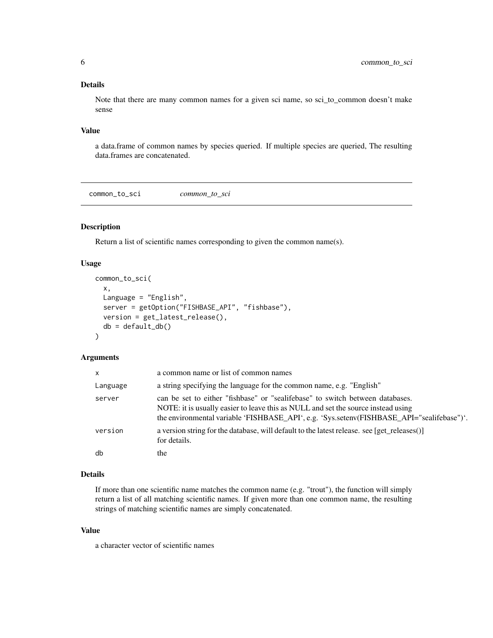#### <span id="page-5-0"></span>Details

Note that there are many common names for a given sci name, so sci\_to\_common doesn't make sense

#### Value

a data.frame of common names by species queried. If multiple species are queried, The resulting data.frames are concatenated.

common\_to\_sci *common\_to\_sci*

# Description

Return a list of scientific names corresponding to given the common name(s).

# Usage

```
common_to_sci(
  x,
  Language = "English",
  server = getOption("FISHBASE_API", "fishbase"),
  version = get_latest_release(),
  db = default_dbb())
```
#### Arguments

| $\mathsf{x}$ | a common name or list of common names                                                                                                                                                                                                                           |
|--------------|-----------------------------------------------------------------------------------------------------------------------------------------------------------------------------------------------------------------------------------------------------------------|
| Language     | a string specifying the language for the common name, e.g. "English"                                                                                                                                                                                            |
| server       | can be set to either "fishbase" or "sealifebase" to switch between databases.<br>NOTE: it is usually easier to leave this as NULL and set the source instead using<br>the environmental variable 'FISHBASE_API', e.g. 'Sys.setenv(FISHBASE_API="sealifebase")'. |
| version      | a version string for the database, will default to the latest release. see [get_releases()]<br>for details.                                                                                                                                                     |
| db           | the                                                                                                                                                                                                                                                             |

#### Details

If more than one scientific name matches the common name (e.g. "trout"), the function will simply return a list of all matching scientific names. If given more than one common name, the resulting strings of matching scientific names are simply concatenated.

#### Value

a character vector of scientific names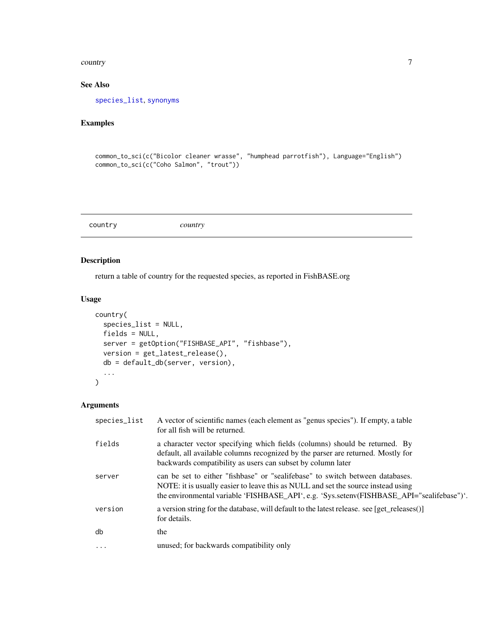#### <span id="page-6-0"></span>country 7 and 2008 and 2008 and 2008 and 2008 and 2008 and 2008 and 2008 and 2008 and 2008 and 2008 and 2008 and 2008 and 2008 and 2008 and 2008 and 2008 and 2008 and 2008 and 2008 and 2008 and 2008 and 2008 and 2008 and 2

# See Also

[species\\_list](#page-46-1), [synonyms](#page-51-1)

# Examples

```
common_to_sci(c("Bicolor cleaner wrasse", "humphead parrotfish"), Language="English")
common_to_sci(c("Coho Salmon", "trout"))
```
country *country*

# Description

return a table of country for the requested species, as reported in FishBASE.org

#### Usage

```
country(
  species_list = NULL,
  fields = NULL,
  server = getOption("FISHBASE_API", "fishbase"),
  version = get_latest_release(),
  db = default_db(server, version),
  ...
)
```

| species_list | A vector of scientific names (each element as "genus species"). If empty, a table<br>for all fish will be returned.                                                                                                                                             |
|--------------|-----------------------------------------------------------------------------------------------------------------------------------------------------------------------------------------------------------------------------------------------------------------|
| fields       | a character vector specifying which fields (columns) should be returned. By<br>default, all available columns recognized by the parser are returned. Mostly for<br>backwards compatibility as users can subset by column later                                  |
| server       | can be set to either "fishbase" or "sealifebase" to switch between databases.<br>NOTE: it is usually easier to leave this as NULL and set the source instead using<br>the environmental variable 'FISHBASE_API', e.g. 'Sys.setenv(FISHBASE_API="sealifebase")'. |
| version      | a version string for the database, will default to the latest release. see [get_releases()]<br>for details.                                                                                                                                                     |
| db           | the                                                                                                                                                                                                                                                             |
| $\cdot$      | unused; for backwards compatibility only                                                                                                                                                                                                                        |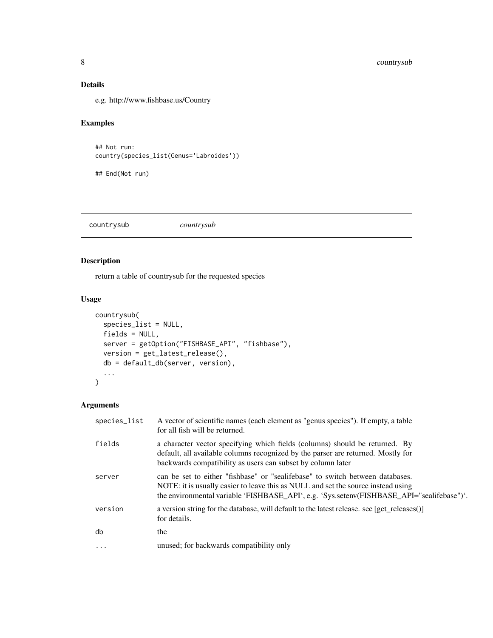# <span id="page-7-0"></span>Details

e.g. http://www.fishbase.us/Country

# Examples

```
## Not run:
country(species_list(Genus='Labroides'))
```
## End(Not run)

countrysub *countrysub*

# Description

return a table of countrysub for the requested species

#### Usage

```
countrysub(
  species_list = NULL,
  fields = NULL,
  server = getOption("FISHBASE_API", "fishbase"),
  version = get_latest_release(),
  db = default_db(server, version),
  ...
\mathcal{E}
```

| species_list | A vector of scientific names (each element as "genus species"). If empty, a table<br>for all fish will be returned.                                                                                                                                             |
|--------------|-----------------------------------------------------------------------------------------------------------------------------------------------------------------------------------------------------------------------------------------------------------------|
| fields       | a character vector specifying which fields (columns) should be returned. By<br>default, all available columns recognized by the parser are returned. Mostly for<br>backwards compatibility as users can subset by column later                                  |
| server       | can be set to either "fishbase" or "sealifebase" to switch between databases.<br>NOTE: it is usually easier to leave this as NULL and set the source instead using<br>the environmental variable 'FISHBASE_API', e.g. 'Sys.setenv(FISHBASE_API="sealifebase")'. |
| version      | a version string for the database, will default to the latest release. see [get releases()]<br>for details.                                                                                                                                                     |
| db           | the                                                                                                                                                                                                                                                             |
| $\ddotsc$    | unused; for backwards compatibility only                                                                                                                                                                                                                        |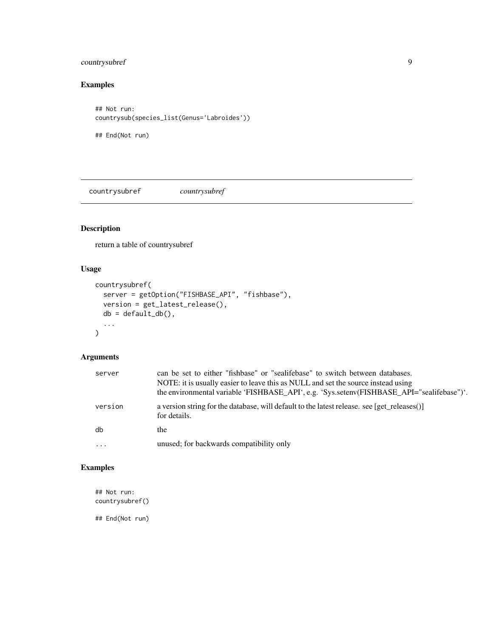# <span id="page-8-0"></span>countrysubref 9

# Examples

## Not run: countrysub(species\_list(Genus='Labroides'))

## End(Not run)

countrysubref *countrysubref*

# Description

return a table of countrysubref

# Usage

```
countrysubref(
  server = getOption("FISHBASE_API", "fishbase"),
  version = get_latest_release(),
  db = default_dbb(),
  ...
\mathcal{L}
```
# Arguments

| server   | can be set to either "fishbase" or "sealifebase" to switch between databases.<br>NOTE: it is usually easier to leave this as NULL and set the source instead using<br>the environmental variable 'FISHBASE_API', e.g. 'Sys.setenv(FISHBASE_API="sealifebase")'. |
|----------|-----------------------------------------------------------------------------------------------------------------------------------------------------------------------------------------------------------------------------------------------------------------|
| version  | a version string for the database, will default to the latest release. see [get_releases()]<br>for details.                                                                                                                                                     |
| db       | the                                                                                                                                                                                                                                                             |
| $\cdots$ | unused; for backwards compatibility only                                                                                                                                                                                                                        |

# Examples

## Not run: countrysubref()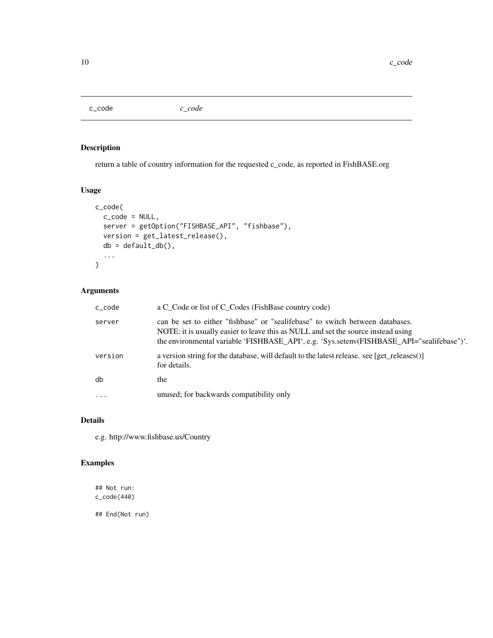<span id="page-9-0"></span>c\_code *c\_code*

# Description

return a table of country information for the requested c\_code, as reported in FishBASE.org

# Usage

```
c_code(
  c_code = NULL,
  server = getOption("FISHBASE_API", "fishbase"),
  version = get_latest_release(),
  db = default_dbb(),...
\mathcal{L}
```
# Arguments

| c_code   | a C_Code or list of C_Codes (FishBase country code)                                                                                                                                                                                                             |
|----------|-----------------------------------------------------------------------------------------------------------------------------------------------------------------------------------------------------------------------------------------------------------------|
| server   | can be set to either "fishbase" or "sealifebase" to switch between databases.<br>NOTE: it is usually easier to leave this as NULL and set the source instead using<br>the environmental variable 'FISHBASE_API', e.g. 'Sys.setenv(FISHBASE_API="sealifebase")'. |
| version  | a version string for the database, will default to the latest release. see [get_releases()]<br>for details.                                                                                                                                                     |
| db       | the                                                                                                                                                                                                                                                             |
| $\cdots$ | unused; for backwards compatibility only                                                                                                                                                                                                                        |

#### Details

e.g. http://www.fishbase.us/Country

# Examples

## Not run: c\_code(440)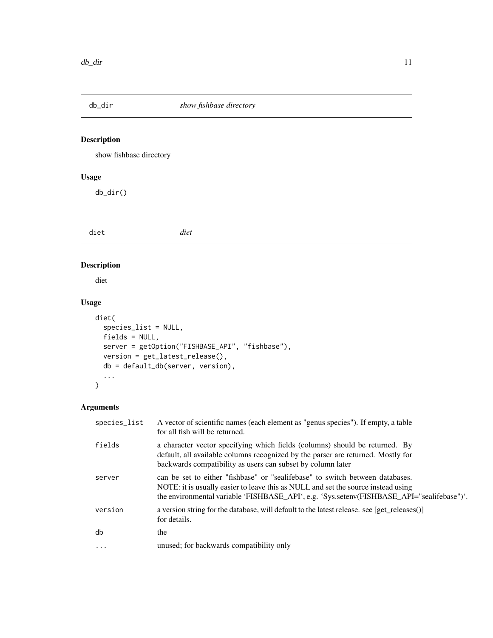<span id="page-10-0"></span>

# Description

show fishbase directory

# Usage

db\_dir()

diet *diet*

# Description

diet

# Usage

```
diet(
  species_list = NULL,
  fields = NULL,
  server = getOption("FISHBASE_API", "fishbase"),
  version = get_latest_release(),
  db = default_db(server, version),
  ...
\mathcal{L}
```

| species_list | A vector of scientific names (each element as "genus species"). If empty, a table<br>for all fish will be returned.                                                                                                                                             |
|--------------|-----------------------------------------------------------------------------------------------------------------------------------------------------------------------------------------------------------------------------------------------------------------|
| fields       | a character vector specifying which fields (columns) should be returned. By<br>default, all available columns recognized by the parser are returned. Mostly for<br>backwards compatibility as users can subset by column later                                  |
| server       | can be set to either "fishbase" or "sealifebase" to switch between databases.<br>NOTE: it is usually easier to leave this as NULL and set the source instead using<br>the environmental variable 'FISHBASE_API', e.g. 'Sys.setenv(FISHBASE_API="sealifebase")'. |
| version      | a version string for the database, will default to the latest release. see [get releases()]<br>for details.                                                                                                                                                     |
| db           | the                                                                                                                                                                                                                                                             |
| $\ddotsc$    | unused; for backwards compatibility only                                                                                                                                                                                                                        |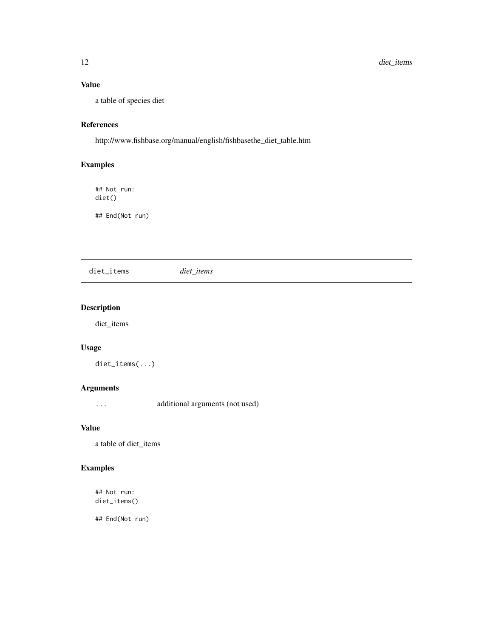# <span id="page-11-0"></span>Value

a table of species diet

# References

http://www.fishbase.org/manual/english/fishbasethe\_diet\_table.htm

# Examples

## Not run: diet()

## End(Not run)

diet\_items *diet\_items*

# Description

diet\_items

# Usage

diet\_items(...)

# Arguments

... additional arguments (not used)

#### Value

a table of diet\_items

# Examples

## Not run: diet\_items()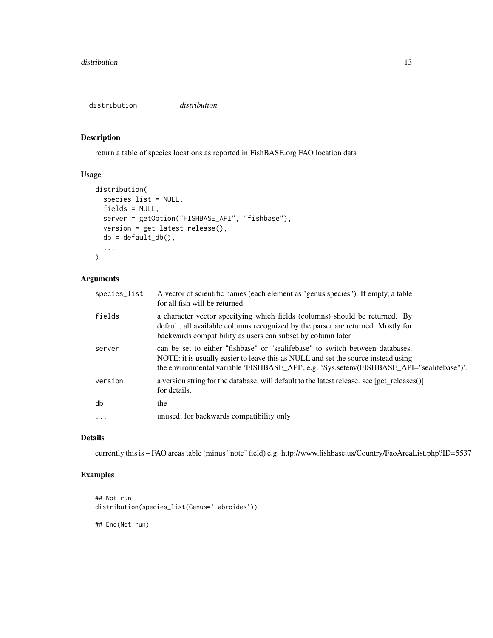<span id="page-12-0"></span>distribution *distribution*

#### Description

return a table of species locations as reported in FishBASE.org FAO location data

# Usage

```
distribution(
  species_list = NULL,
 fields = NULL,
 server = getOption("FISHBASE_API", "fishbase"),
 version = get_latest_release(),
 db = default_d b(),
  ...
\mathcal{L}
```
# Arguments

| species_list | A vector of scientific names (each element as "genus species"). If empty, a table<br>for all fish will be returned.                                                                                                                                             |
|--------------|-----------------------------------------------------------------------------------------------------------------------------------------------------------------------------------------------------------------------------------------------------------------|
| fields       | a character vector specifying which fields (columns) should be returned. By<br>default, all available columns recognized by the parser are returned. Mostly for<br>backwards compatibility as users can subset by column later                                  |
| server       | can be set to either "fishbase" or "sealifebase" to switch between databases.<br>NOTE: it is usually easier to leave this as NULL and set the source instead using<br>the environmental variable 'FISHBASE_API', e.g. 'Sys.setenv(FISHBASE_API="sealifebase")'. |
| version      | a version string for the database, will default to the latest release. see [get releases()]<br>for details.                                                                                                                                                     |
| db           | the                                                                                                                                                                                                                                                             |
| $\ddots$     | unused; for backwards compatibility only                                                                                                                                                                                                                        |
|              |                                                                                                                                                                                                                                                                 |

# Details

currently this is ~ FAO areas table (minus "note" field) e.g. http://www.fishbase.us/Country/FaoAreaList.php?ID=5537

# Examples

```
## Not run:
distribution(species_list(Genus='Labroides'))
## End(Not run)
```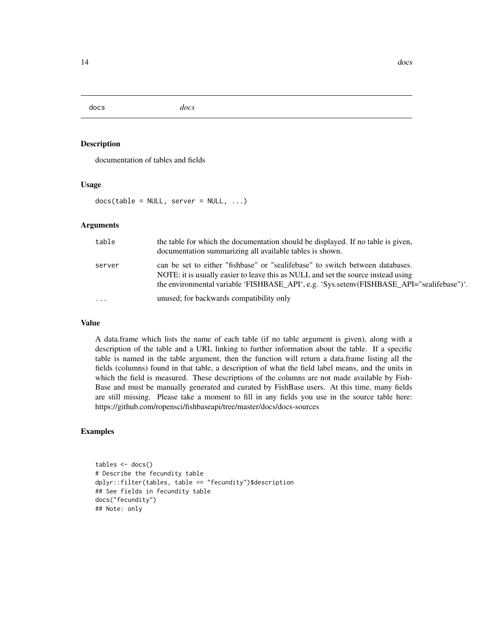<span id="page-13-0"></span>docs *docs*

#### Description

documentation of tables and fields

#### Usage

 $docs(table = NULL, server = NULL, ...)$ 

#### Arguments

| table    | the table for which the documentation should be displayed. If no table is given,<br>documentation summarizing all available tables is shown.                                                                                                                    |
|----------|-----------------------------------------------------------------------------------------------------------------------------------------------------------------------------------------------------------------------------------------------------------------|
| server   | can be set to either "fishbase" or "sealifebase" to switch between databases.<br>NOTE: it is usually easier to leave this as NULL and set the source instead using<br>the environmental variable 'FISHBASE_API', e.g. 'Sys.setenv(FISHBASE_API="sealifebase")'. |
| $\cdots$ | unused; for backwards compatibility only                                                                                                                                                                                                                        |

#### Value

A data.frame which lists the name of each table (if no table argument is given), along with a description of the table and a URL linking to further information about the table. If a specific table is named in the table argument, then the function will return a data.frame listing all the fields (columns) found in that table, a description of what the field label means, and the units in which the field is measured. These descriptions of the columns are not made available by Fish-Base and must be manually generated and curated by FishBase users. At this time, many fields are still missing. Please take a moment to fill in any fields you use in the source table here: https://github.com/ropensci/fishbaseapi/tree/master/docs/docs-sources

#### Examples

```
tables <- docs()
# Describe the fecundity table
dplyr::filter(tables, table == "fecundity")$description
## See fields in fecundity table
docs("fecundity")
## Note: only
```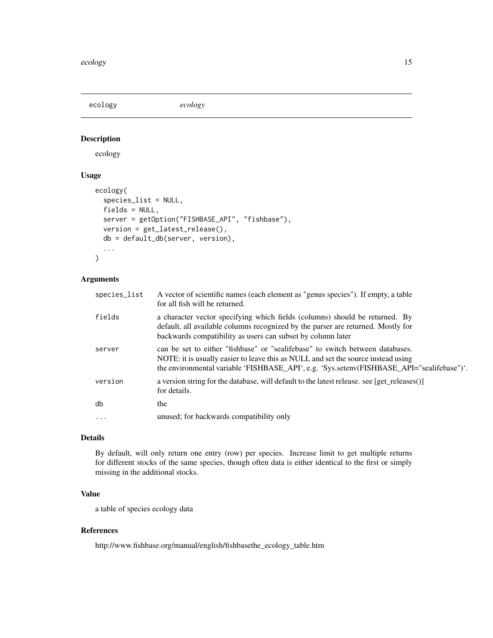<span id="page-14-0"></span>ecology *ecology*

# Description

ecology

# Usage

```
ecology(
  species_list = NULL,
  fields = NULL,
  server = getOption("FISHBASE_API", "fishbase"),
 version = get_latest_release(),
 db = default_db(server, version),
  ...
\mathcal{L}
```
# Arguments

| species_list | A vector of scientific names (each element as "genus species"). If empty, a table<br>for all fish will be returned.                                                                                                                                             |
|--------------|-----------------------------------------------------------------------------------------------------------------------------------------------------------------------------------------------------------------------------------------------------------------|
| fields       | a character vector specifying which fields (columns) should be returned. By<br>default, all available columns recognized by the parser are returned. Mostly for<br>backwards compatibility as users can subset by column later                                  |
| server       | can be set to either "fishbase" or "sealifebase" to switch between databases.<br>NOTE: it is usually easier to leave this as NULL and set the source instead using<br>the environmental variable 'FISHBASE_API', e.g. 'Sys.setenv(FISHBASE_API="sealifebase")'. |
| version      | a version string for the database, will default to the latest release. see [get releases()]<br>for details.                                                                                                                                                     |
| db           | the                                                                                                                                                                                                                                                             |
| $\cdots$     | unused; for backwards compatibility only                                                                                                                                                                                                                        |
|              |                                                                                                                                                                                                                                                                 |

# Details

By default, will only return one entry (row) per species. Increase limit to get multiple returns for different stocks of the same species, though often data is either identical to the first or simply missing in the additional stocks.

# Value

a table of species ecology data

# References

http://www.fishbase.org/manual/english/fishbasethe\_ecology\_table.htm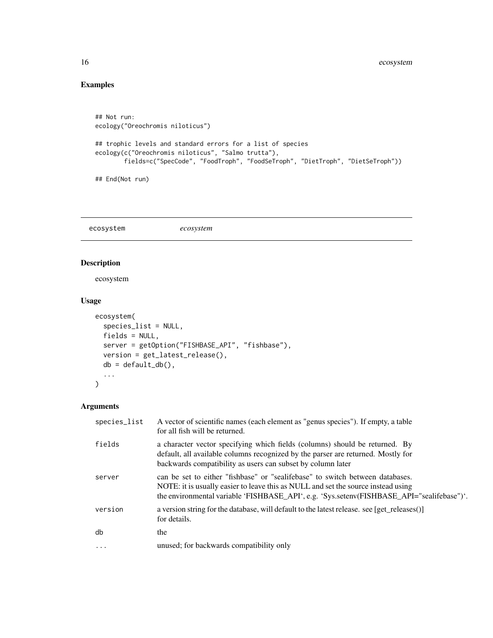# Examples

```
## Not run:
ecology("Oreochromis niloticus")
## trophic levels and standard errors for a list of species
ecology(c("Oreochromis niloticus", "Salmo trutta"),
        fields=c("SpecCode", "FoodTroph", "FoodSeTroph", "DietTroph", "DietSeTroph"))
## End(Not run)
```
ecosystem *ecosystem*

# Description

ecosystem

# Usage

```
ecosystem(
  species_list = NULL,
 fields = NULL,
 server = getOption("FISHBASE_API", "fishbase"),
 version = get_latest_release(),
 db = default_dbb(),...
)
```

| species_list | A vector of scientific names (each element as "genus species"). If empty, a table<br>for all fish will be returned.                                                                                                                                             |
|--------------|-----------------------------------------------------------------------------------------------------------------------------------------------------------------------------------------------------------------------------------------------------------------|
| fields       | a character vector specifying which fields (columns) should be returned. By<br>default, all available columns recognized by the parser are returned. Mostly for<br>backwards compatibility as users can subset by column later                                  |
| server       | can be set to either "fishbase" or "sealifebase" to switch between databases.<br>NOTE: it is usually easier to leave this as NULL and set the source instead using<br>the environmental variable 'FISHBASE_API', e.g. 'Sys.setenv(FISHBASE_API="sealifebase")'. |
| version      | a version string for the database, will default to the latest release. see [get_releases()]<br>for details.                                                                                                                                                     |
| db           | the                                                                                                                                                                                                                                                             |
| $\ddotsc$    | unused; for backwards compatibility only                                                                                                                                                                                                                        |

<span id="page-15-0"></span>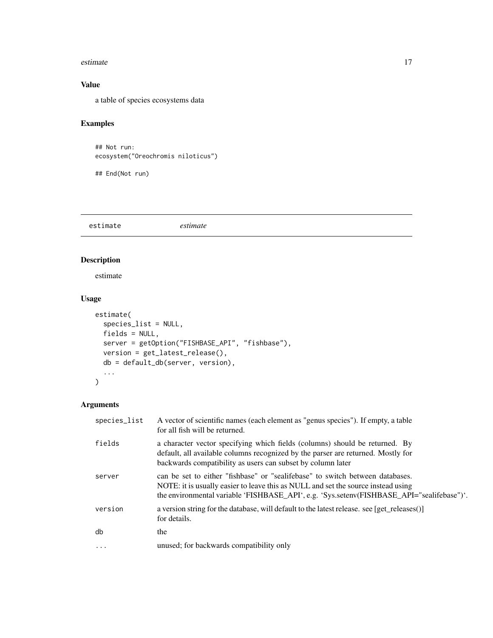#### <span id="page-16-0"></span>estimate the state of the state of the state of the state of the state of the state of the state of the state of the state of the state of the state of the state of the state of the state of the state of the state of the s

# Value

a table of species ecosystems data

# Examples

```
## Not run:
ecosystem("Oreochromis niloticus")
```
## End(Not run)

estimate *estimate*

# Description

estimate

#### Usage

```
estimate(
  species_list = NULL,
  fields = NULL,
  server = getOption("FISHBASE_API", "fishbase"),
  version = get_latest_release(),
  db = default_db(server, version),
  ...
\mathcal{L}
```

| species_list | A vector of scientific names (each element as "genus species"). If empty, a table<br>for all fish will be returned.                                                                                                                                             |
|--------------|-----------------------------------------------------------------------------------------------------------------------------------------------------------------------------------------------------------------------------------------------------------------|
| fields       | a character vector specifying which fields (columns) should be returned. By<br>default, all available columns recognized by the parser are returned. Mostly for<br>backwards compatibility as users can subset by column later                                  |
| server       | can be set to either "fishbase" or "sealifebase" to switch between databases.<br>NOTE: it is usually easier to leave this as NULL and set the source instead using<br>the environmental variable 'FISHBASE_API', e.g. 'Sys.setenv(FISHBASE_API="sealifebase")'. |
| version      | a version string for the database, will default to the latest release. see [get_releases()]<br>for details.                                                                                                                                                     |
| db           | the                                                                                                                                                                                                                                                             |
| $\ddots$ .   | unused; for backwards compatibility only                                                                                                                                                                                                                        |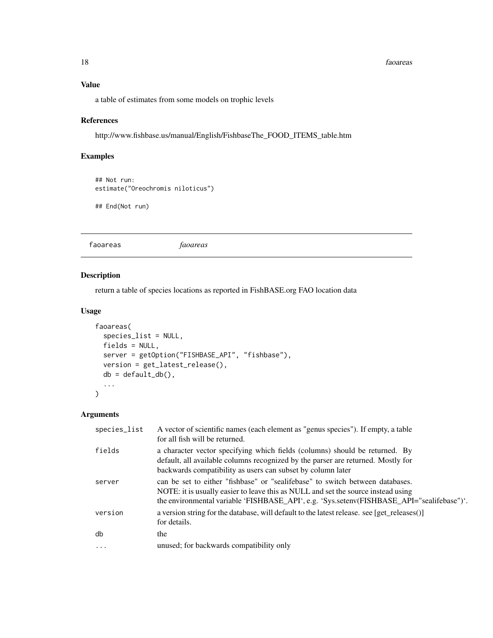#### 18 faoareas e an am an t-an-seas an am an am an am an am an am an am an am an am an am an am an am an am an am

# Value

a table of estimates from some models on trophic levels

# References

http://www.fishbase.us/manual/English/FishbaseThe\_FOOD\_ITEMS\_table.htm

# Examples

```
## Not run:
estimate("Oreochromis niloticus")
```
## End(Not run)

faoareas *faoareas*

#### Description

return a table of species locations as reported in FishBASE.org FAO location data

# Usage

```
faoareas(
  species_list = NULL,
 fields = NULL,
 server = getOption("FISHBASE_API", "fishbase"),
 version = get_latest_release(),
 db = default_dbb(),...
)
```

| species_list | A vector of scientific names (each element as "genus species"). If empty, a table<br>for all fish will be returned.                                                                                                                                             |
|--------------|-----------------------------------------------------------------------------------------------------------------------------------------------------------------------------------------------------------------------------------------------------------------|
| fields       | a character vector specifying which fields (columns) should be returned. By<br>default, all available columns recognized by the parser are returned. Mostly for<br>backwards compatibility as users can subset by column later                                  |
| server       | can be set to either "fishbase" or "sealifebase" to switch between databases.<br>NOTE: it is usually easier to leave this as NULL and set the source instead using<br>the environmental variable 'FISHBASE_API', e.g. 'Sys.setenv(FISHBASE_API="sealifebase")'. |
| version      | a version string for the database, will default to the latest release. see [get_releases()]<br>for details.                                                                                                                                                     |
| db           | the                                                                                                                                                                                                                                                             |
| $\cdots$     | unused; for backwards compatibility only                                                                                                                                                                                                                        |

<span id="page-17-0"></span>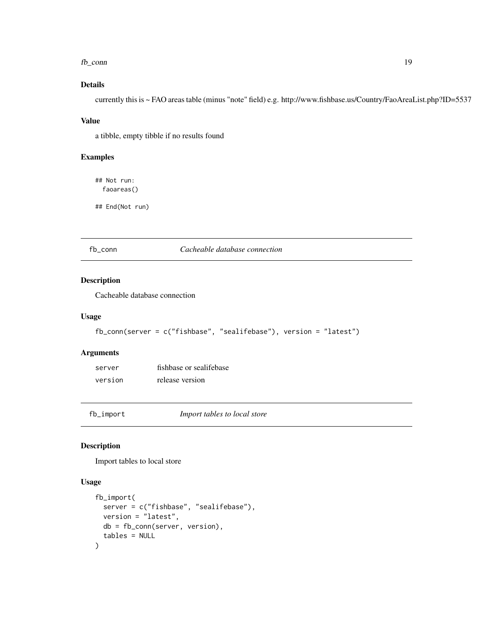#### <span id="page-18-0"></span> $f_{\rm D}$  conn  $19$

# Details

currently this is ~ FAO areas table (minus "note" field) e.g. http://www.fishbase.us/Country/FaoAreaList.php?ID=5537

#### Value

a tibble, empty tibble if no results found

#### Examples

## Not run: faoareas()

## End(Not run)

#### fb\_conn *Cacheable database connection*

#### Description

Cacheable database connection

#### Usage

```
fb_conn(server = c("fishbase", "sealifebase"), version = "latest")
```
#### Arguments

| server  | fishbase or sealifebase |
|---------|-------------------------|
| version | release version         |

fb\_import *Import tables to local store*

## Description

Import tables to local store

```
fb_import(
  server = c("fishbase", "sealifebase"),
  version = "latest",
  db = fb_conn(server, version),
  tables = NULL
\mathcal{E}
```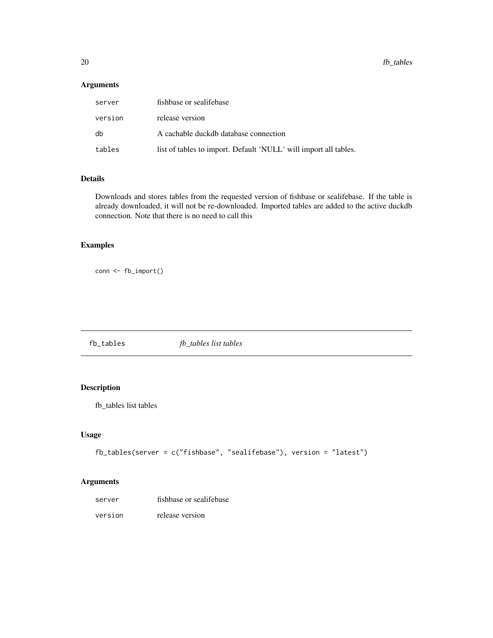<span id="page-19-0"></span>20 fb\_tables control to the control of the control of the control of the control of the control of the control of the control of the control of the control of the control of the control of the control of the control of the

# Arguments

| server  | fishbase or sealifebase                                          |
|---------|------------------------------------------------------------------|
| version | release version                                                  |
| db      | A cachable duckdb database connection                            |
| tables  | list of tables to import. Default 'NULL' will import all tables. |

# Details

Downloads and stores tables from the requested version of fishbase or sealifebase. If the table is already downloaded, it will not be re-downloaded. Imported tables are added to the active duckdb connection. Note that there is no need to call this

# Examples

conn <- fb\_import()

fb\_tables *fb\_tables list tables*

# Description

fb\_tables list tables

#### Usage

```
fb_tables(server = c("fishbase", "sealifebase"), version = "latest")
```

| server  | fishbase or sealifebase |
|---------|-------------------------|
| version | release version         |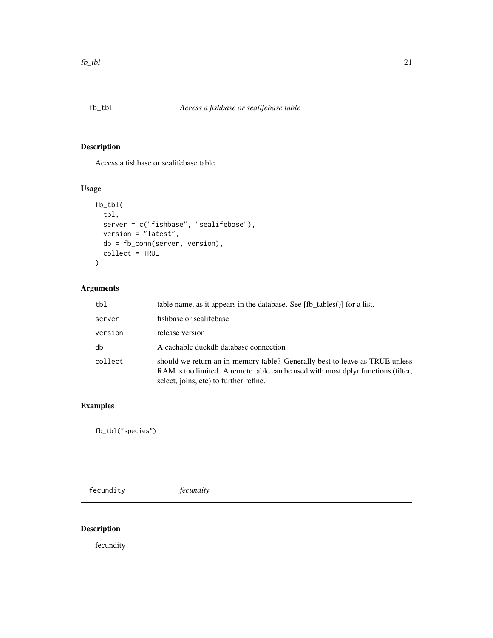<span id="page-20-0"></span>

# Description

Access a fishbase or sealifebase table

# Usage

```
fb_tbl(
 tbl,
 server = c("fishbase", "sealifebase"),
 version = "latest",
 db = fb_conn(server, version),
 collect = TRUE
)
```
# Arguments

| tbl     | table name, as it appears in the database. See [fb tables()] for a list.                                                                                                                                   |
|---------|------------------------------------------------------------------------------------------------------------------------------------------------------------------------------------------------------------|
| server  | fishbase or sealifebase                                                                                                                                                                                    |
| version | release version                                                                                                                                                                                            |
| db      | A cachable duckdb database connection                                                                                                                                                                      |
| collect | should we return an in-memory table? Generally best to leave as TRUE unless<br>RAM is too limited. A remote table can be used with most dplyr functions (filter,<br>select, joins, etc) to further refine. |

# Examples

fb\_tbl("species")

fecundity *fecundity*

# Description

fecundity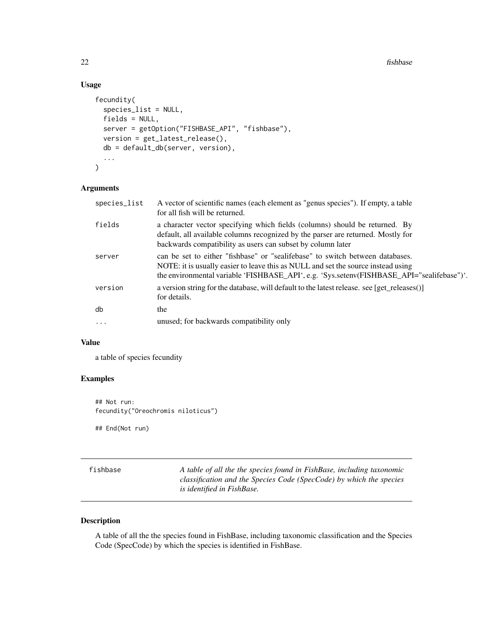<span id="page-21-0"></span>22 fishbase control of the control of the control of the control of the control of the control of the control of the control of the control of the control of the control of the control of the control of the control of the

# Usage

```
fecundity(
  species_list = NULL,
  fields = NULL,
  server = getOption("FISHBASE_API", "fishbase"),
 version = get_latest_release(),
  db = default_db(server, version),
  ...
\mathcal{E}
```
# Arguments

| species_list | A vector of scientific names (each element as "genus species"). If empty, a table<br>for all fish will be returned.                                                                                                                                             |
|--------------|-----------------------------------------------------------------------------------------------------------------------------------------------------------------------------------------------------------------------------------------------------------------|
| fields       | a character vector specifying which fields (columns) should be returned. By<br>default, all available columns recognized by the parser are returned. Mostly for<br>backwards compatibility as users can subset by column later                                  |
| server       | can be set to either "fishbase" or "sealifebase" to switch between databases.<br>NOTE: it is usually easier to leave this as NULL and set the source instead using<br>the environmental variable 'FISHBASE_API', e.g. 'Sys.setenv(FISHBASE_API="sealifebase")'. |
| version      | a version string for the database, will default to the latest release. see [get_releases()]<br>for details.                                                                                                                                                     |
| db           | the                                                                                                                                                                                                                                                             |
| $\ddots$     | unused; for backwards compatibility only                                                                                                                                                                                                                        |

#### Value

a table of species fecundity

# Examples

## Not run: fecundity("Oreochromis niloticus")

## End(Not run)

| fishbase | A table of all the the species found in FishBase, including taxonomic |
|----------|-----------------------------------------------------------------------|
|          | classification and the Species Code (SpecCode) by which the species   |
|          | is identified in FishBase.                                            |

# Description

A table of all the the species found in FishBase, including taxonomic classification and the Species Code (SpecCode) by which the species is identified in FishBase.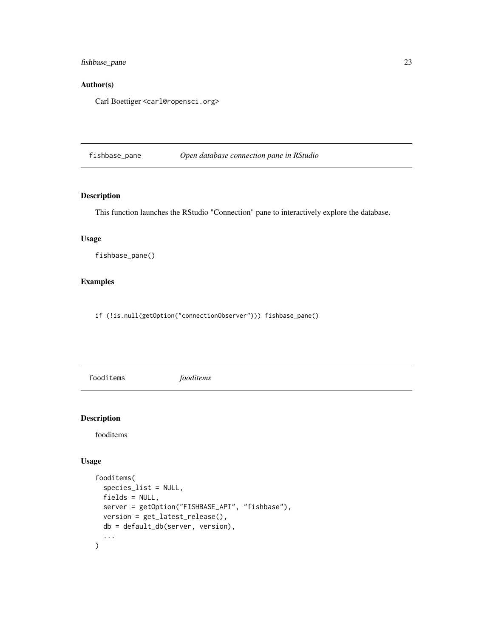<span id="page-22-0"></span>fishbase\_pane 23

# Author(s)

Carl Boettiger <carl@ropensci.org>

fishbase\_pane *Open database connection pane in RStudio*

# Description

This function launches the RStudio "Connection" pane to interactively explore the database.

# Usage

fishbase\_pane()

# Examples

if (!is.null(getOption("connectionObserver"))) fishbase\_pane()

fooditems *fooditems*

#### Description

fooditems

```
fooditems(
  species_list = NULL,
 fields = NULL,
 server = getOption("FISHBASE_API", "fishbase"),
 version = get_latest_release(),
 db = default_db(server, version),
  ...
\mathcal{E}
```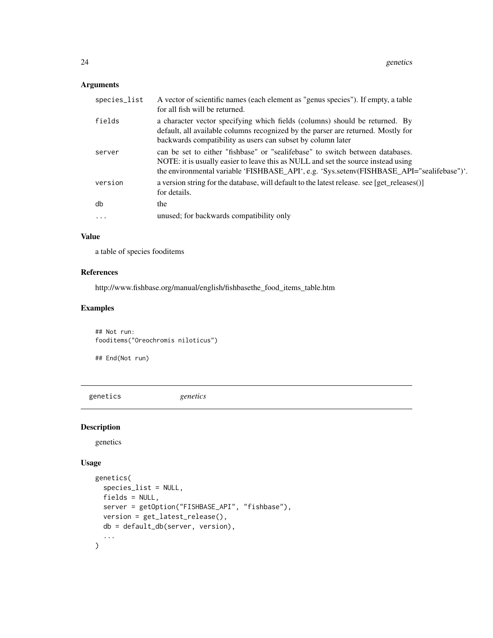# <span id="page-23-0"></span>Arguments

| species_list | A vector of scientific names (each element as "genus species"). If empty, a table<br>for all fish will be returned.                                                                                                                                             |
|--------------|-----------------------------------------------------------------------------------------------------------------------------------------------------------------------------------------------------------------------------------------------------------------|
| fields       | a character vector specifying which fields (columns) should be returned. By<br>default, all available columns recognized by the parser are returned. Mostly for<br>backwards compatibility as users can subset by column later                                  |
| server       | can be set to either "fishbase" or "sealifebase" to switch between databases.<br>NOTE: it is usually easier to leave this as NULL and set the source instead using<br>the environmental variable 'FISHBASE_API', e.g. 'Sys.setenv(FISHBASE_API="sealifebase")'. |
| version      | a version string for the database, will default to the latest release. see [get_releases()]<br>for details.                                                                                                                                                     |
| db           | the                                                                                                                                                                                                                                                             |
| $\ddots$     | unused; for backwards compatibility only                                                                                                                                                                                                                        |

# Value

a table of species fooditems

# References

http://www.fishbase.org/manual/english/fishbasethe\_food\_items\_table.htm

# Examples

## Not run: fooditems("Oreochromis niloticus")

## End(Not run)

genetics *genetics*

# Description

genetics

```
genetics(
  species_list = NULL,
  fields = NULL,
  server = getOption("FISHBASE_API", "fishbase"),
  version = get_latest_release(),
  db = default_db(server, version),
  ...
\overline{\phantom{a}}
```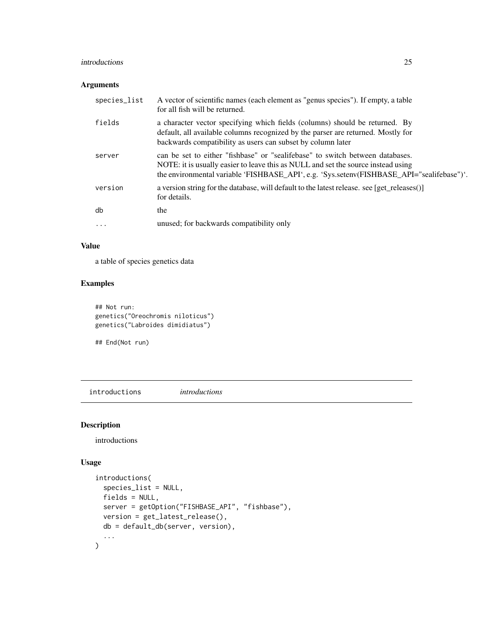#### <span id="page-24-0"></span>introductions 25

# Arguments

| species_list | A vector of scientific names (each element as "genus species"). If empty, a table<br>for all fish will be returned.                                                                                                                                             |
|--------------|-----------------------------------------------------------------------------------------------------------------------------------------------------------------------------------------------------------------------------------------------------------------|
| fields       | a character vector specifying which fields (columns) should be returned. By<br>default, all available columns recognized by the parser are returned. Mostly for<br>backwards compatibility as users can subset by column later                                  |
| server       | can be set to either "fishbase" or "sealifebase" to switch between databases.<br>NOTE: it is usually easier to leave this as NULL and set the source instead using<br>the environmental variable 'FISHBASE_API', e.g. 'Sys.setenv(FISHBASE_API="sealifebase")'. |
| version      | a version string for the database, will default to the latest release. see [get releases()]<br>for details.                                                                                                                                                     |
| db           | the                                                                                                                                                                                                                                                             |
| $\cdots$     | unused; for backwards compatibility only                                                                                                                                                                                                                        |

# Value

a table of species genetics data

# Examples

```
## Not run:
genetics("Oreochromis niloticus")
genetics("Labroides dimidiatus")
```
## End(Not run)

introductions *introductions*

# Description

introductions

```
introductions(
  species_list = NULL,
  fields = NULL,
  server = getOption("FISHBASE_API", "fishbase"),
 version = get_latest_release(),
 db = default_db(server, version),
  ...
\overline{\phantom{a}}
```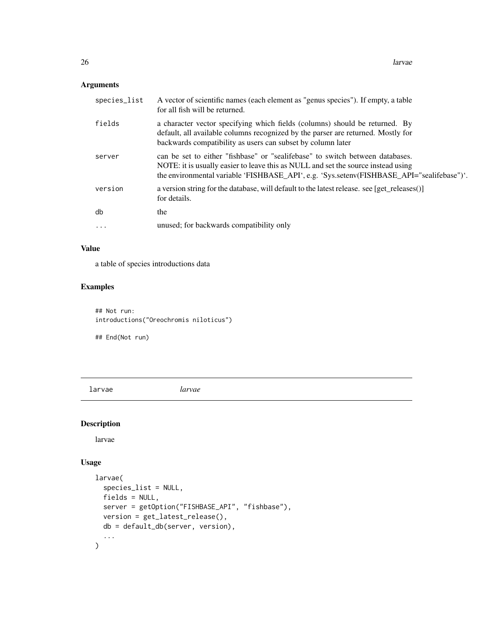# <span id="page-25-0"></span>Arguments

| species_list | A vector of scientific names (each element as "genus species"). If empty, a table<br>for all fish will be returned.                                                                                                                                             |
|--------------|-----------------------------------------------------------------------------------------------------------------------------------------------------------------------------------------------------------------------------------------------------------------|
| fields       | a character vector specifying which fields (columns) should be returned. By<br>default, all available columns recognized by the parser are returned. Mostly for<br>backwards compatibility as users can subset by column later                                  |
| server       | can be set to either "fishbase" or "sealifebase" to switch between databases.<br>NOTE: it is usually easier to leave this as NULL and set the source instead using<br>the environmental variable 'FISHBASE_API', e.g. 'Sys.setenv(FISHBASE_API="sealifebase")'. |
| version      | a version string for the database, will default to the latest release. see [get releases()]<br>for details.                                                                                                                                                     |
| db           | the                                                                                                                                                                                                                                                             |
| $\ddots$     | unused; for backwards compatibility only                                                                                                                                                                                                                        |

# Value

a table of species introductions data

# Examples

## Not run: introductions("Oreochromis niloticus")

## End(Not run)

larvae *larvae*

# Description

larvae

```
larvae(
  species_list = NULL,
 fields = NULL,
 server = getOption("FISHBASE_API", "fishbase"),
 version = get_latest_release(),
 db = default_db(server, version),
  ...
\mathcal{L}
```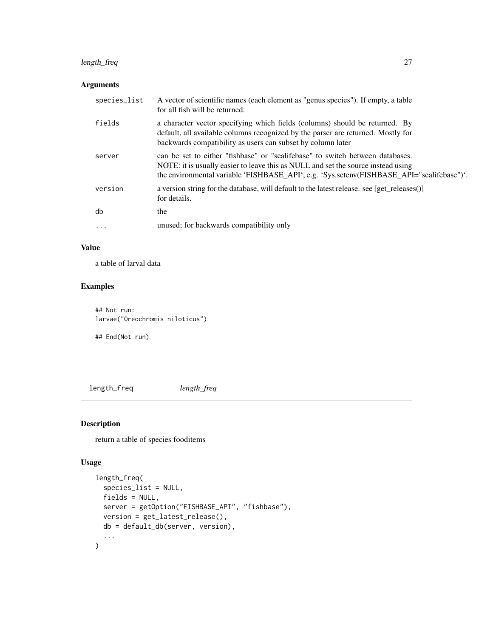# <span id="page-26-0"></span>length\_freq 27

# Arguments

| species_list | A vector of scientific names (each element as "genus species"). If empty, a table<br>for all fish will be returned.                                                                                                                                             |
|--------------|-----------------------------------------------------------------------------------------------------------------------------------------------------------------------------------------------------------------------------------------------------------------|
| fields       | a character vector specifying which fields (columns) should be returned. By<br>default, all available columns recognized by the parser are returned. Mostly for<br>backwards compatibility as users can subset by column later                                  |
| server       | can be set to either "fishbase" or "sealifebase" to switch between databases.<br>NOTE: it is usually easier to leave this as NULL and set the source instead using<br>the environmental variable 'FISHBASE_API', e.g. 'Sys.setenv(FISHBASE_API="sealifebase")'. |
| version      | a version string for the database, will default to the latest release. see [get_releases()]<br>for details.                                                                                                                                                     |
| db           | the                                                                                                                                                                                                                                                             |
| $\ddots$     | unused; for backwards compatibility only                                                                                                                                                                                                                        |

# Value

a table of larval data

# Examples

## Not run: larvae("Oreochromis niloticus")

## End(Not run)

length\_freq *length\_freq*

# Description

return a table of species fooditems

```
length_freq(
 species_list = NULL,
 fields = NULL,
 server = getOption("FISHBASE_API", "fishbase"),
 version = get_latest_release(),
 db = default_db(server, version),
  ...
)
```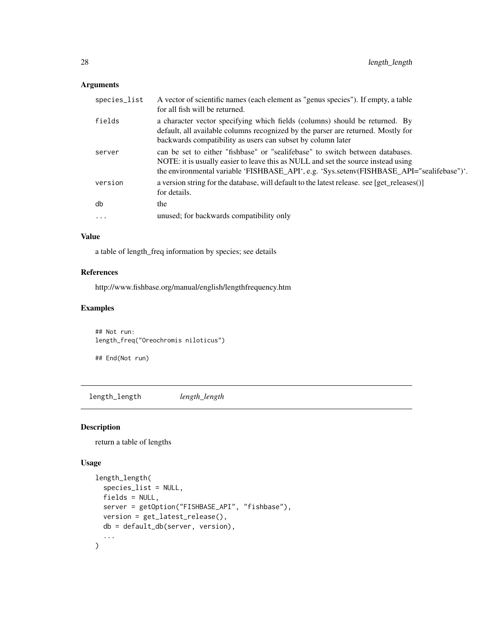# <span id="page-27-0"></span>Arguments

| species_list | A vector of scientific names (each element as "genus species"). If empty, a table<br>for all fish will be returned.                                                                                                                                             |
|--------------|-----------------------------------------------------------------------------------------------------------------------------------------------------------------------------------------------------------------------------------------------------------------|
| fields       | a character vector specifying which fields (columns) should be returned. By<br>default, all available columns recognized by the parser are returned. Mostly for<br>backwards compatibility as users can subset by column later                                  |
| server       | can be set to either "fishbase" or "sealifebase" to switch between databases.<br>NOTE: it is usually easier to leave this as NULL and set the source instead using<br>the environmental variable 'FISHBASE_API', e.g. 'Sys.setenv(FISHBASE_API="sealifebase")'. |
| version      | a version string for the database, will default to the latest release. see [get_releases()]<br>for details.                                                                                                                                                     |
| db           | the                                                                                                                                                                                                                                                             |
| $\ddots$ .   | unused; for backwards compatibility only                                                                                                                                                                                                                        |

#### Value

a table of length\_freq information by species; see details

# References

http://www.fishbase.org/manual/english/lengthfrequency.htm

# Examples

## Not run: length\_freq("Oreochromis niloticus")

## End(Not run)

length\_length *length\_length*

# Description

return a table of lengths

```
length_length(
  species_list = NULL,
  fields = NULL,
  server = getOption("FISHBASE_API", "fishbase"),
  version = get_latest_release(),
  db = default_db(server, version),
  ...
\overline{\phantom{a}}
```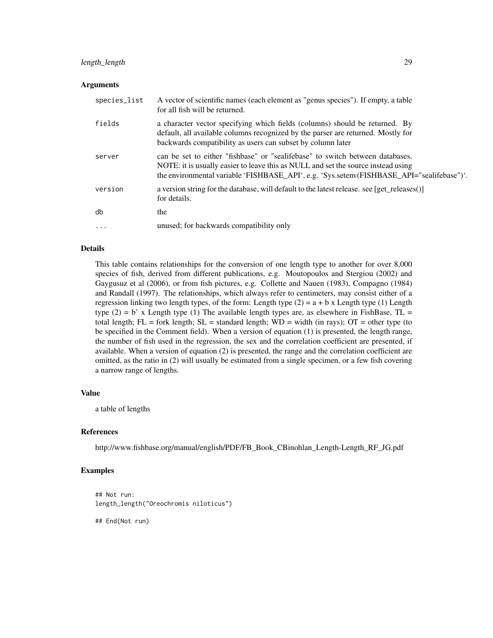# length\_length 29

#### **Arguments**

| species_list | A vector of scientific names (each element as "genus species"). If empty, a table<br>for all fish will be returned.                                                                                                                                             |
|--------------|-----------------------------------------------------------------------------------------------------------------------------------------------------------------------------------------------------------------------------------------------------------------|
| fields       | a character vector specifying which fields (columns) should be returned. By<br>default, all available columns recognized by the parser are returned. Mostly for<br>backwards compatibility as users can subset by column later                                  |
| server       | can be set to either "fishbase" or "sealifebase" to switch between databases.<br>NOTE: it is usually easier to leave this as NULL and set the source instead using<br>the environmental variable 'FISHBASE_API', e.g. 'Sys.setenv(FISHBASE_API="sealifebase")'. |
| version      | a version string for the database, will default to the latest release. see [get releases()]<br>for details.                                                                                                                                                     |
| db           | the                                                                                                                                                                                                                                                             |
| $\ddots$     | unused; for backwards compatibility only                                                                                                                                                                                                                        |

#### Details

This table contains relationships for the conversion of one length type to another for over 8,000 species of fish, derived from different publications, e.g. Moutopoulos and Stergiou (2002) and Gaygusuz et al (2006), or from fish pictures, e.g. Collette and Nauen (1983), Compagno (1984) and Randall (1997). The relationships, which always refer to centimeters, may consist either of a regression linking two length types, of the form: Length type  $(2) = a + bx$  Length type  $(1)$  Length type (2) = b' x Length type (1) The available length types are, as elsewhere in FishBase, TL = total length;  $FL =$  fork length;  $SL =$  standard length;  $WD =$  width (in rays);  $OT =$  other type (to be specified in the Comment field). When a version of equation (1) is presented, the length range, the number of fish used in the regression, the sex and the correlation coefficient are presented, if available. When a version of equation (2) is presented, the range and the correlation coefficient are omitted, as the ratio in (2) will usually be estimated from a single specimen, or a few fish covering a narrow range of lengths.

#### Value

a table of lengths

#### References

http://www.fishbase.org/manual/english/PDF/FB\_Book\_CBinohlan\_Length-Length\_RF\_JG.pdf

#### Examples

```
## Not run:
length_length("Oreochromis niloticus")
```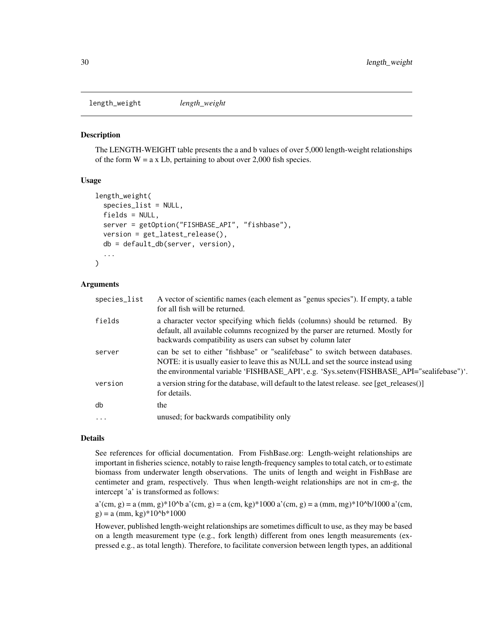<span id="page-29-0"></span>length\_weight *length\_weight*

#### **Description**

The LENGTH-WEIGHT table presents the a and b values of over 5,000 length-weight relationships of the form  $W = a \times Lb$ , pertaining to about over 2,000 fish species.

#### Usage

```
length_weight(
  species_list = NULL,
  fields = NULL,
  server = getOption("FISHBASE_API", "fishbase"),
  version = get_latest_release(),
  db = default_db(server, version),
  ...
)
```
#### Arguments

| species_list | A vector of scientific names (each element as "genus species"). If empty, a table<br>for all fish will be returned.                                                                                                                                             |
|--------------|-----------------------------------------------------------------------------------------------------------------------------------------------------------------------------------------------------------------------------------------------------------------|
| fields       | a character vector specifying which fields (columns) should be returned. By<br>default, all available columns recognized by the parser are returned. Mostly for<br>backwards compatibility as users can subset by column later                                  |
| server       | can be set to either "fishbase" or "sealifebase" to switch between databases.<br>NOTE: it is usually easier to leave this as NULL and set the source instead using<br>the environmental variable 'FISHBASE_API', e.g. 'Sys.setenv(FISHBASE_API="sealifebase")'. |
| version      | a version string for the database, will default to the latest release. see [get_releases()]<br>for details.                                                                                                                                                     |
| db           | the                                                                                                                                                                                                                                                             |
| $\ddots$ .   | unused; for backwards compatibility only                                                                                                                                                                                                                        |
|              |                                                                                                                                                                                                                                                                 |

#### Details

See references for official documentation. From FishBase.org: Length-weight relationships are important in fisheries science, notably to raise length-frequency samples to total catch, or to estimate biomass from underwater length observations. The units of length and weight in FishBase are centimeter and gram, respectively. Thus when length-weight relationships are not in cm-g, the intercept 'a' is transformed as follows:

 $a'(cm, g) = a (mm, g)*10<sup>4</sup>b a'(cm, g) = a (cm, kg)*1000 a'(cm, g) = a (mm, mg)*10<sup>4</sup>b/1000 a'(cm, g)$  $g$ ) = a (mm, kg)\*10^b\*1000

However, published length-weight relationships are sometimes difficult to use, as they may be based on a length measurement type (e.g., fork length) different from ones length measurements (expressed e.g., as total length). Therefore, to facilitate conversion between length types, an additional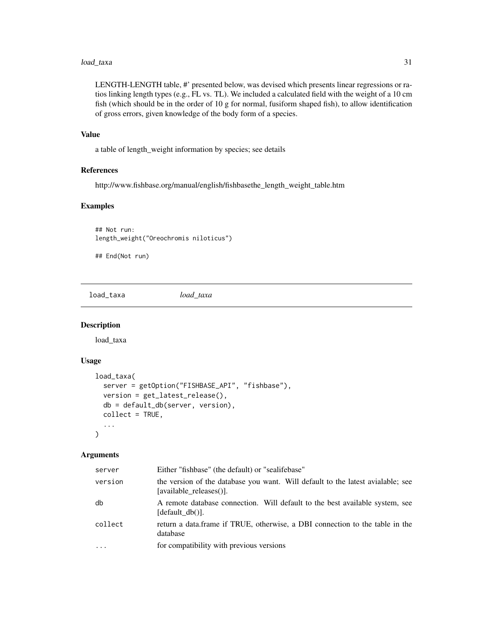#### <span id="page-30-0"></span>load\_taxa 31

LENGTH-LENGTH table, #' presented below, was devised which presents linear regressions or ratios linking length types (e.g., FL vs. TL). We included a calculated field with the weight of a 10 cm fish (which should be in the order of 10 g for normal, fusiform shaped fish), to allow identification of gross errors, given knowledge of the body form of a species.

#### Value

a table of length\_weight information by species; see details

#### References

http://www.fishbase.org/manual/english/fishbasethe\_length\_weight\_table.htm

#### Examples

## Not run: length\_weight("Oreochromis niloticus")

## End(Not run)

load\_taxa *load\_taxa*

#### Description

load\_taxa

#### Usage

```
load_taxa(
  server = getOption("FISHBASE_API", "fishbase"),
  version = get_latest_release(),
  db = default_db(server, version),
  collect = TRUE,
  ...
)
```

| server   | Either "fishbase" (the default) or "sealifebase"                                                           |
|----------|------------------------------------------------------------------------------------------------------------|
| version  | the version of the database you want. Will default to the latest avialable; see<br>[available releases()]. |
| db       | A remote database connection. Will default to the best available system, see<br>[default db()].            |
| collect  | return a data.frame if TRUE, otherwise, a DBI connection to the table in the<br>database                   |
| $\cdots$ | for compatibility with previous versions                                                                   |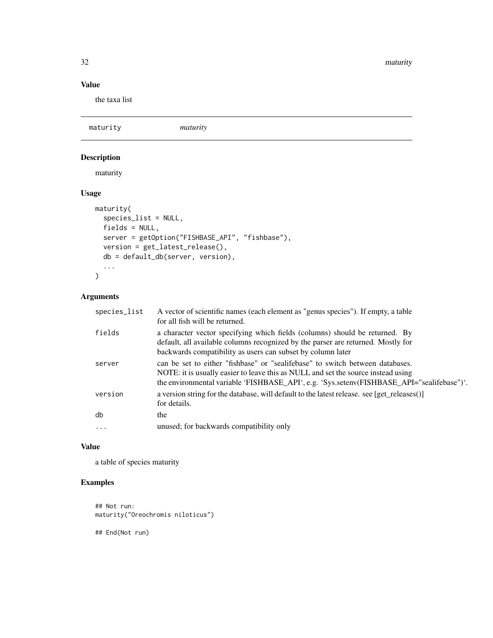<span id="page-31-0"></span>32 maturity and the contract of the contract of the contract of the contract of the contract of the contract of the contract of the contract of the contract of the contract of the contract of the contract of the contract o

# Value

the taxa list

maturity *maturity* Description maturity

# Usage

```
maturity(
 species_list = NULL,
 fields = NULL,
 server = getOption("FISHBASE_API", "fishbase"),
 version = get_latest_release(),
 db = default_db(server, version),
  ...
\mathcal{L}
```
# Arguments

| species_list | A vector of scientific names (each element as "genus species"). If empty, a table<br>for all fish will be returned.                                                                                                                                             |
|--------------|-----------------------------------------------------------------------------------------------------------------------------------------------------------------------------------------------------------------------------------------------------------------|
| fields       | a character vector specifying which fields (columns) should be returned. By<br>default, all available columns recognized by the parser are returned. Mostly for<br>backwards compatibility as users can subset by column later                                  |
| server       | can be set to either "fishbase" or "sealifebase" to switch between databases.<br>NOTE: it is usually easier to leave this as NULL and set the source instead using<br>the environmental variable 'FISHBASE_API', e.g. 'Sys.setenv(FISHBASE_API="sealifebase")'. |
| version      | a version string for the database, will default to the latest release. see [get_releases()]<br>for details.                                                                                                                                                     |
| db           | the                                                                                                                                                                                                                                                             |
| $\ddots$ .   | unused; for backwards compatibility only                                                                                                                                                                                                                        |

## Value

a table of species maturity

# Examples

```
## Not run:
maturity("Oreochromis niloticus")
```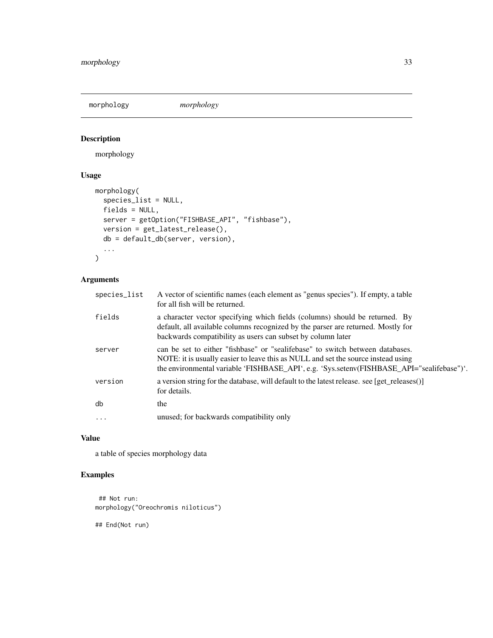<span id="page-32-0"></span>morphology *morphology*

# Description

morphology

# Usage

```
morphology(
  species_list = NULL,
 fields = NULL,
 server = getOption("FISHBASE_API", "fishbase"),
 version = get_latest_release(),
 db = default_db(server, version),
  ...
\mathcal{L}
```
# Arguments

| species_list | A vector of scientific names (each element as "genus species"). If empty, a table<br>for all fish will be returned.                                                                                                                                             |
|--------------|-----------------------------------------------------------------------------------------------------------------------------------------------------------------------------------------------------------------------------------------------------------------|
| fields       | a character vector specifying which fields (columns) should be returned. By<br>default, all available columns recognized by the parser are returned. Mostly for<br>backwards compatibility as users can subset by column later                                  |
| server       | can be set to either "fishbase" or "sealifebase" to switch between databases.<br>NOTE: it is usually easier to leave this as NULL and set the source instead using<br>the environmental variable 'FISHBASE_API', e.g. 'Sys.setenv(FISHBASE_API="sealifebase")'. |
| version      | a version string for the database, will default to the latest release. see [get releases()]<br>for details.                                                                                                                                                     |
| db           | the                                                                                                                                                                                                                                                             |
| $\ddots$ .   | unused; for backwards compatibility only                                                                                                                                                                                                                        |
|              |                                                                                                                                                                                                                                                                 |

# Value

a table of species morphology data

# Examples

## Not run: morphology("Oreochromis niloticus")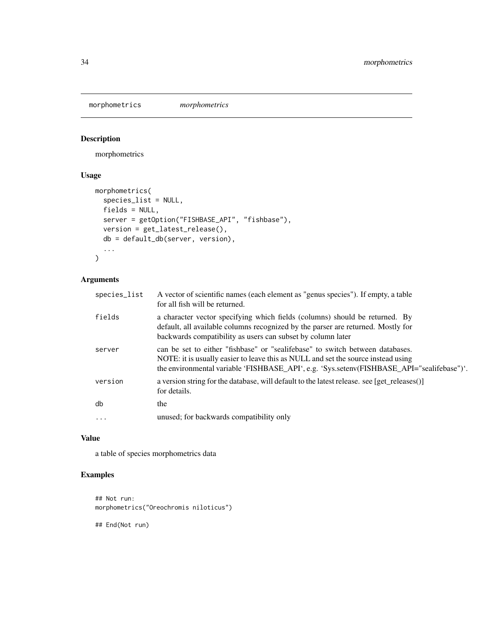<span id="page-33-0"></span>morphometrics *morphometrics*

# Description

morphometrics

# Usage

```
morphometrics(
  species_list = NULL,
 fields = NULL,
 server = getOption("FISHBASE_API", "fishbase"),
 version = get_latest_release(),
 db = default_db(server, version),
  ...
\mathcal{L}
```
# Arguments

| species_list | A vector of scientific names (each element as "genus species"). If empty, a table<br>for all fish will be returned.                                                                                                                                             |
|--------------|-----------------------------------------------------------------------------------------------------------------------------------------------------------------------------------------------------------------------------------------------------------------|
| fields       | a character vector specifying which fields (columns) should be returned. By<br>default, all available columns recognized by the parser are returned. Mostly for<br>backwards compatibility as users can subset by column later                                  |
| server       | can be set to either "fishbase" or "sealifebase" to switch between databases.<br>NOTE: it is usually easier to leave this as NULL and set the source instead using<br>the environmental variable 'FISHBASE_API', e.g. 'Sys.setenv(FISHBASE_API="sealifebase")'. |
| version      | a version string for the database, will default to the latest release. see [get releases()]<br>for details.                                                                                                                                                     |
| db           | the                                                                                                                                                                                                                                                             |
| $\cdots$     | unused; for backwards compatibility only                                                                                                                                                                                                                        |
|              |                                                                                                                                                                                                                                                                 |

# Value

a table of species morphometrics data

# Examples

```
## Not run:
morphometrics("Oreochromis niloticus")
```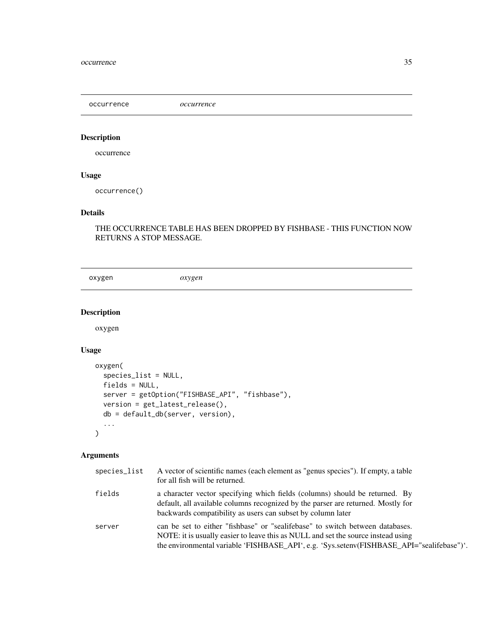<span id="page-34-0"></span>occurrence *occurrence*

# Description

occurrence

# Usage

occurrence()

# Details

THE OCCURRENCE TABLE HAS BEEN DROPPED BY FISHBASE - THIS FUNCTION NOW RETURNS A STOP MESSAGE.

oxygen *oxygen*

# Description

oxygen

# Usage

```
oxygen(
  species_list = NULL,
  fields = NULL,
  server = getOption("FISHBASE_API", "fishbase"),
  version = get_latest_release(),
  db = default_db(server, version),
  ...
\mathcal{L}
```

| species_list | A vector of scientific names (each element as "genus species"). If empty, a table<br>for all fish will be returned.                                                                                                                                             |
|--------------|-----------------------------------------------------------------------------------------------------------------------------------------------------------------------------------------------------------------------------------------------------------------|
| fields       | a character vector specifying which fields (columns) should be returned. By<br>default, all available columns recognized by the parser are returned. Mostly for<br>backwards compatibility as users can subset by column later                                  |
| server       | can be set to either "fishbase" or "sealifebase" to switch between databases.<br>NOTE: it is usually easier to leave this as NULL and set the source instead using<br>the environmental variable 'FISHBASE_API', e.g. 'Sys.setenv(FISHBASE_API="sealifebase")'. |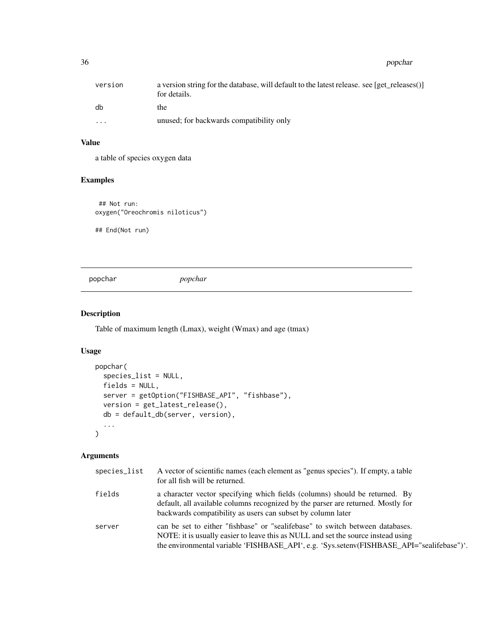<span id="page-35-0"></span>

| version                 | a version string for the database, will default to the latest release. see [get releases()]<br>for details. |
|-------------------------|-------------------------------------------------------------------------------------------------------------|
| db                      | the                                                                                                         |
| $\cdot$ $\cdot$ $\cdot$ | unused; for backwards compatibility only                                                                    |

# Value

a table of species oxygen data

# Examples

## Not run: oxygen("Oreochromis niloticus")

## End(Not run)

popchar *popchar*

# Description

Table of maximum length (Lmax), weight (Wmax) and age (tmax)

#### Usage

```
popchar(
  species_list = NULL,
  fields = NULL,
  server = getOption("FISHBASE_API", "fishbase"),
  version = get_latest_release(),
  db = default_db(server, version),
  ...
)
```

| species_list | A vector of scientific names (each element as "genus species"). If empty, a table<br>for all fish will be returned.                                                                                                                                             |
|--------------|-----------------------------------------------------------------------------------------------------------------------------------------------------------------------------------------------------------------------------------------------------------------|
| fields       | a character vector specifying which fields (columns) should be returned. By<br>default, all available columns recognized by the parser are returned. Mostly for<br>backwards compatibility as users can subset by column later                                  |
| server       | can be set to either "fishbase" or "sealifebase" to switch between databases.<br>NOTE: it is usually easier to leave this as NULL and set the source instead using<br>the environmental variable 'FISHBASE_API', e.g. 'Sys.setenv(FISHBASE_API="sealifebase")'. |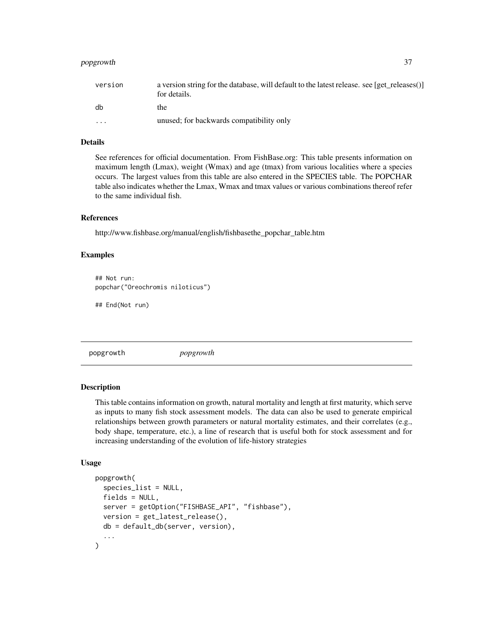# <span id="page-36-0"></span>popgrowth 37

| version  | a version string for the database, will default to the latest release. see [get releases()]<br>for details. |
|----------|-------------------------------------------------------------------------------------------------------------|
| db       | the                                                                                                         |
| $\cdots$ | unused; for backwards compatibility only                                                                    |

# Details

See references for official documentation. From FishBase.org: This table presents information on maximum length (Lmax), weight (Wmax) and age (tmax) from various localities where a species occurs. The largest values from this table are also entered in the SPECIES table. The POPCHAR table also indicates whether the Lmax, Wmax and tmax values or various combinations thereof refer to the same individual fish.

# References

http://www.fishbase.org/manual/english/fishbasethe\_popchar\_table.htm

#### Examples

```
## Not run:
popchar("Oreochromis niloticus")
```
## End(Not run)

popgrowth *popgrowth*

#### **Description**

This table contains information on growth, natural mortality and length at first maturity, which serve as inputs to many fish stock assessment models. The data can also be used to generate empirical relationships between growth parameters or natural mortality estimates, and their correlates (e.g., body shape, temperature, etc.), a line of research that is useful both for stock assessment and for increasing understanding of the evolution of life-history strategies

```
popgrowth(
  species_list = NULL,
  fields = NULL,
  server = getOption("FISHBASE_API", "fishbase"),
  version = get_latest_release(),
  db = default_db(server, version),
  ...
)
```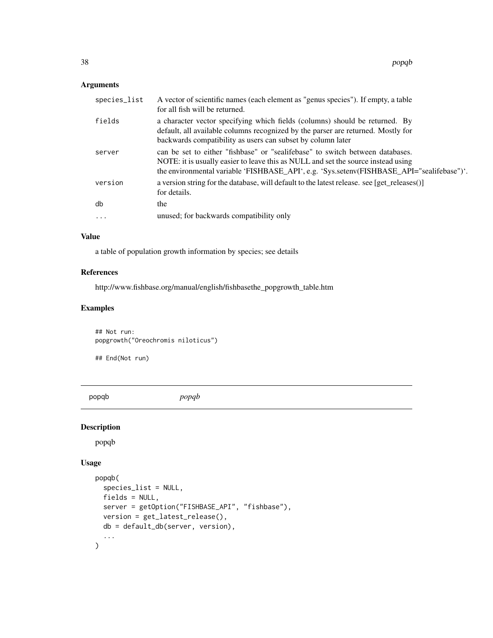# <span id="page-37-0"></span>Arguments

| species_list | A vector of scientific names (each element as "genus species"). If empty, a table<br>for all fish will be returned.                                                                                                                                             |
|--------------|-----------------------------------------------------------------------------------------------------------------------------------------------------------------------------------------------------------------------------------------------------------------|
| fields       | a character vector specifying which fields (columns) should be returned. By<br>default, all available columns recognized by the parser are returned. Mostly for<br>backwards compatibility as users can subset by column later                                  |
| server       | can be set to either "fishbase" or "sealifebase" to switch between databases.<br>NOTE: it is usually easier to leave this as NULL and set the source instead using<br>the environmental variable 'FISHBASE_API', e.g. 'Sys.setenv(FISHBASE_API="sealifebase")'. |
| version      | a version string for the database, will default to the latest release. see [get_releases()]<br>for details.                                                                                                                                                     |
| db           | the                                                                                                                                                                                                                                                             |
| $\ddots$ .   | unused; for backwards compatibility only                                                                                                                                                                                                                        |

## Value

a table of population growth information by species; see details

# References

http://www.fishbase.org/manual/english/fishbasethe\_popgrowth\_table.htm

# Examples

## Not run: popgrowth("Oreochromis niloticus")

## End(Not run)

popqb *popqb*

# Description

popqb

```
popqb(
  species_list = NULL,
  fields = NULL,
  server = getOption("FISHBASE_API", "fishbase"),
  version = get_latest_release(),
  db = default_db(server, version),
  ...
\overline{\phantom{a}}
```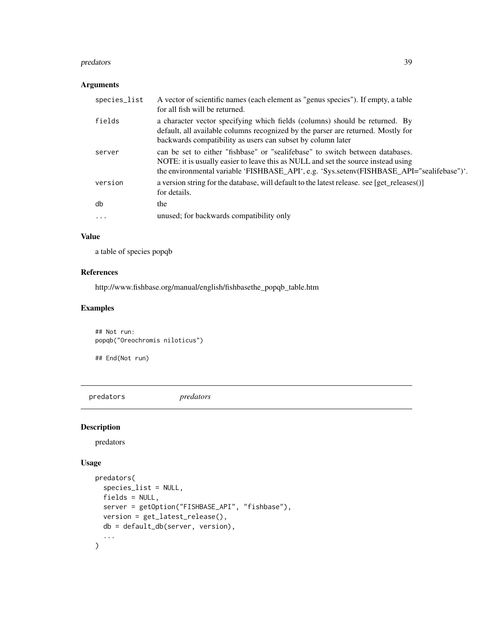#### <span id="page-38-0"></span>predators 39

# Arguments

| species_list | A vector of scientific names (each element as "genus species"). If empty, a table<br>for all fish will be returned.                                                                                                                                             |
|--------------|-----------------------------------------------------------------------------------------------------------------------------------------------------------------------------------------------------------------------------------------------------------------|
| fields       | a character vector specifying which fields (columns) should be returned. By<br>default, all available columns recognized by the parser are returned. Mostly for<br>backwards compatibility as users can subset by column later                                  |
| server       | can be set to either "fishbase" or "sealifebase" to switch between databases.<br>NOTE: it is usually easier to leave this as NULL and set the source instead using<br>the environmental variable 'FISHBASE_API', e.g. 'Sys.setenv(FISHBASE_API="sealifebase")'. |
| version      | a version string for the database, will default to the latest release. see [get_releases()]<br>for details.                                                                                                                                                     |
| db           | the                                                                                                                                                                                                                                                             |
| $\cdots$     | unused; for backwards compatibility only                                                                                                                                                                                                                        |

## Value

a table of species popqb

## References

http://www.fishbase.org/manual/english/fishbasethe\_popqb\_table.htm

# Examples

## Not run: popqb("Oreochromis niloticus")

## End(Not run)

predators *predators*

# Description

predators

```
predators(
  species_list = NULL,
  fields = NULL,
  server = getOption("FISHBASE_API", "fishbase"),
  version = get_latest_release(),
  db = default_db(server, version),
  ...
\overline{\phantom{a}}
```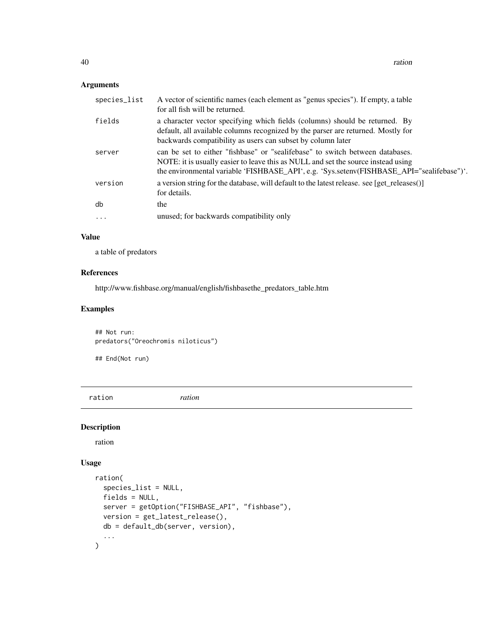# <span id="page-39-0"></span>Arguments

| species_list | A vector of scientific names (each element as "genus species"). If empty, a table<br>for all fish will be returned.                                                                                                                                             |
|--------------|-----------------------------------------------------------------------------------------------------------------------------------------------------------------------------------------------------------------------------------------------------------------|
| fields       | a character vector specifying which fields (columns) should be returned. By<br>default, all available columns recognized by the parser are returned. Mostly for<br>backwards compatibility as users can subset by column later                                  |
| server       | can be set to either "fishbase" or "sealifebase" to switch between databases.<br>NOTE: it is usually easier to leave this as NULL and set the source instead using<br>the environmental variable 'FISHBASE_API', e.g. 'Sys.setenv(FISHBASE_API="sealifebase")'. |
| version      | a version string for the database, will default to the latest release. see [get_releases()]<br>for details.                                                                                                                                                     |
| db           | the                                                                                                                                                                                                                                                             |
| $\ddots$     | unused; for backwards compatibility only                                                                                                                                                                                                                        |
|              |                                                                                                                                                                                                                                                                 |

## Value

a table of predators

# References

http://www.fishbase.org/manual/english/fishbasethe\_predators\_table.htm

# Examples

```
## Not run:
predators("Oreochromis niloticus")
```
## End(Not run)

ration *ration*

# Description

ration

```
ration(
  species_list = NULL,
  fields = NULL,
  server = getOption("FISHBASE_API", "fishbase"),
  version = get_latest_release(),
  db = default_db(server, version),
  ...
\overline{\phantom{a}}
```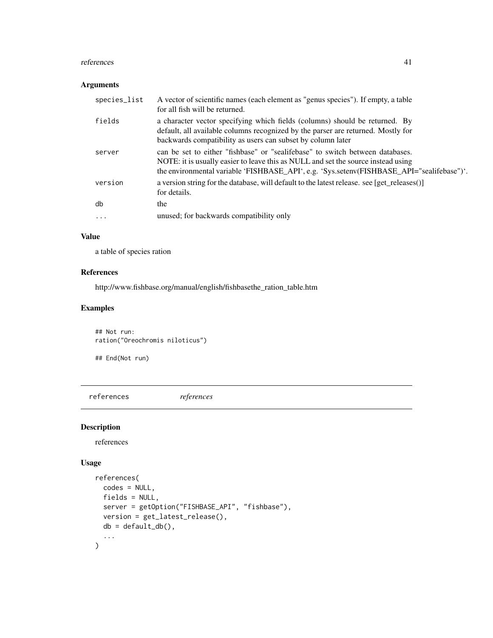#### <span id="page-40-0"></span>references 41

#### Arguments

| species_list | A vector of scientific names (each element as "genus species"). If empty, a table<br>for all fish will be returned.                                                                                                                                             |
|--------------|-----------------------------------------------------------------------------------------------------------------------------------------------------------------------------------------------------------------------------------------------------------------|
| fields       | a character vector specifying which fields (columns) should be returned. By<br>default, all available columns recognized by the parser are returned. Mostly for<br>backwards compatibility as users can subset by column later                                  |
| server       | can be set to either "fishbase" or "sealifebase" to switch between databases.<br>NOTE: it is usually easier to leave this as NULL and set the source instead using<br>the environmental variable 'FISHBASE_API', e.g. 'Sys.setenv(FISHBASE_API="sealifebase")'. |
| version      | a version string for the database, will default to the latest release. see [get_releases()]<br>for details.                                                                                                                                                     |
| db           | the                                                                                                                                                                                                                                                             |
| $\cdots$     | unused; for backwards compatibility only                                                                                                                                                                                                                        |

## Value

a table of species ration

# References

http://www.fishbase.org/manual/english/fishbasethe\_ration\_table.htm

# Examples

## Not run: ration("Oreochromis niloticus")

## End(Not run)

references *references*

# Description

references

```
references(
  codes = NULL,
  fields = NULL,
  server = getOption("FISHBASE_API", "fishbase"),
  version = get_latest_release(),
  db = default_dbb(),...
\overline{\phantom{a}}
```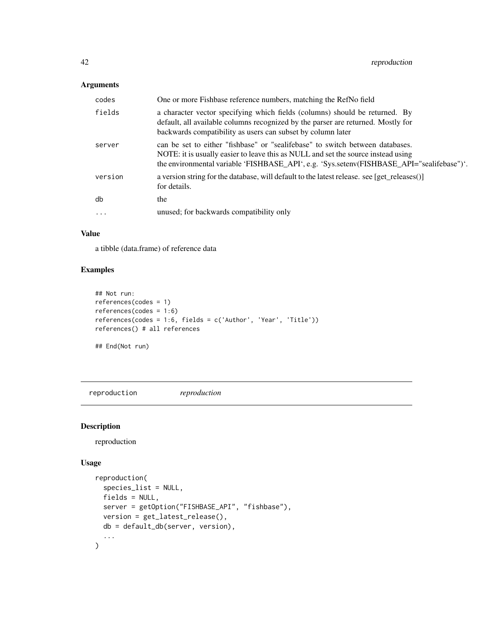# <span id="page-41-0"></span>Arguments

| codes    | One or more Fishbase reference numbers, matching the RefNo field                                                                                                                                                                                                |
|----------|-----------------------------------------------------------------------------------------------------------------------------------------------------------------------------------------------------------------------------------------------------------------|
| fields   | a character vector specifying which fields (columns) should be returned. By<br>default, all available columns recognized by the parser are returned. Mostly for<br>backwards compatibility as users can subset by column later                                  |
| server   | can be set to either "fishbase" or "sealifebase" to switch between databases.<br>NOTE: it is usually easier to leave this as NULL and set the source instead using<br>the environmental variable 'FISHBASE_API', e.g. 'Sys.setenv(FISHBASE_API="sealifebase")'. |
| version  | a version string for the database, will default to the latest release. see [get_releases()]<br>for details.                                                                                                                                                     |
| db       | the                                                                                                                                                                                                                                                             |
| $\cdots$ | unused; for backwards compatibility only                                                                                                                                                                                                                        |

#### Value

a tibble (data.frame) of reference data

# Examples

```
## Not run:
references(codes = 1)
references(codes = 1:6)
references(codes = 1:6, fields = c('Author', 'Year', 'Title'))
references() # all references
## End(Not run)
```
reproduction *reproduction*

# Description

reproduction

```
reproduction(
  species_list = NULL,
  fields = NULL,
 server = getOption("FISHBASE_API", "fishbase"),
 version = get_latest_release(),
 db = default_db(server, version),
  ...
\overline{\phantom{a}}
```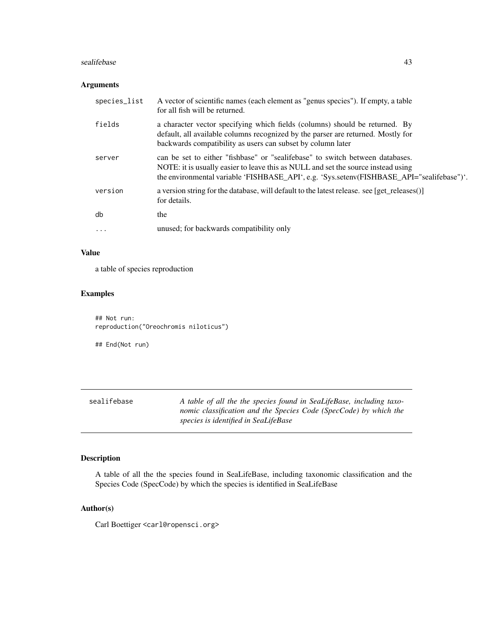#### <span id="page-42-0"></span>sealifebase 43

#### Arguments

| species_list | A vector of scientific names (each element as "genus species"). If empty, a table<br>for all fish will be returned.                                                                                                                                             |
|--------------|-----------------------------------------------------------------------------------------------------------------------------------------------------------------------------------------------------------------------------------------------------------------|
| fields       | a character vector specifying which fields (columns) should be returned. By<br>default, all available columns recognized by the parser are returned. Mostly for<br>backwards compatibility as users can subset by column later                                  |
| server       | can be set to either "fishbase" or "sealifebase" to switch between databases.<br>NOTE: it is usually easier to leave this as NULL and set the source instead using<br>the environmental variable 'FISHBASE_API', e.g. 'Sys.setenv(FISHBASE_API="sealifebase")'. |
| version      | a version string for the database, will default to the latest release. see [get_releases()]<br>for details.                                                                                                                                                     |
| db           | the                                                                                                                                                                                                                                                             |
| .            | unused; for backwards compatibility only                                                                                                                                                                                                                        |
|              |                                                                                                                                                                                                                                                                 |

# Value

a table of species reproduction

# Examples

## Not run: reproduction("Oreochromis niloticus")

## End(Not run)

sealifebase *A table of all the the species found in SeaLifeBase, including taxonomic classification and the Species Code (SpecCode) by which the species is identified in SeaLifeBase*

# Description

A table of all the the species found in SeaLifeBase, including taxonomic classification and the Species Code (SpecCode) by which the species is identified in SeaLifeBase

#### Author(s)

Carl Boettiger <carl@ropensci.org>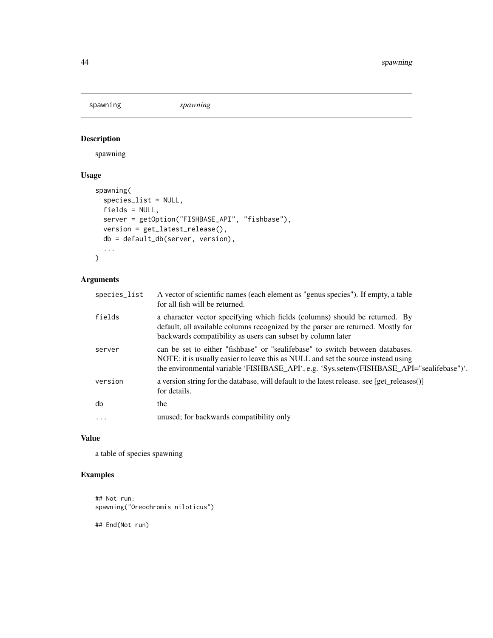<span id="page-43-0"></span>spawning *spawning*

# Description

spawning

# Usage

```
spawning(
  species_list = NULL,
 fields = NULL,
 server = getOption("FISHBASE_API", "fishbase"),
 version = get_latest_release(),
 db = default_db(server, version),
  ...
\mathcal{L}
```
# Arguments

| species_list | A vector of scientific names (each element as "genus species"). If empty, a table<br>for all fish will be returned.                                                                                                                                             |
|--------------|-----------------------------------------------------------------------------------------------------------------------------------------------------------------------------------------------------------------------------------------------------------------|
| fields       | a character vector specifying which fields (columns) should be returned. By<br>default, all available columns recognized by the parser are returned. Mostly for<br>backwards compatibility as users can subset by column later                                  |
| server       | can be set to either "fishbase" or "sealifebase" to switch between databases.<br>NOTE: it is usually easier to leave this as NULL and set the source instead using<br>the environmental variable 'FISHBASE_API', e.g. 'Sys.setenv(FISHBASE_API="sealifebase")'. |
| version      | a version string for the database, will default to the latest release. see [get_releases()]<br>for details.                                                                                                                                                     |
| db           | the                                                                                                                                                                                                                                                             |
| $\cdots$     | unused; for backwards compatibility only                                                                                                                                                                                                                        |
|              |                                                                                                                                                                                                                                                                 |

# Value

a table of species spawning

# Examples

```
## Not run:
spawning("Oreochromis niloticus")
```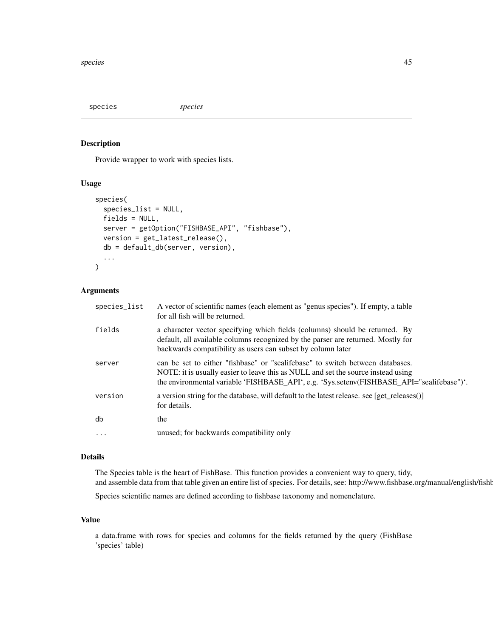<span id="page-44-0"></span>species *species*

#### Description

Provide wrapper to work with species lists.

#### Usage

```
species(
  species_list = NULL,
  fields = NULL,
  server = getOption("FISHBASE_API", "fishbase"),
  version = get_latest_release(),
 db = default_db(server, version),
  ...
)
```
## Arguments

| species_list | A vector of scientific names (each element as "genus species"). If empty, a table<br>for all fish will be returned.                                                                                                                                             |
|--------------|-----------------------------------------------------------------------------------------------------------------------------------------------------------------------------------------------------------------------------------------------------------------|
| fields       | a character vector specifying which fields (columns) should be returned. By<br>default, all available columns recognized by the parser are returned. Mostly for<br>backwards compatibility as users can subset by column later                                  |
| server       | can be set to either "fishbase" or "sealifebase" to switch between databases.<br>NOTE: it is usually easier to leave this as NULL and set the source instead using<br>the environmental variable 'FISHBASE_API', e.g. 'Sys.setenv(FISHBASE_API="sealifebase")'. |
| version      | a version string for the database, will default to the latest release. see [get releases()]<br>for details.                                                                                                                                                     |
| db           | the                                                                                                                                                                                                                                                             |
| $\ddots$ .   | unused; for backwards compatibility only                                                                                                                                                                                                                        |

# Details

The Species table is the heart of FishBase. This function provides a convenient way to query, tidy, and assemble data from that table given an entire list of species. For details, see: http://www.fishbase.org/manual/english/fishb

Species scientific names are defined according to fishbase taxonomy and nomenclature.

# Value

a data.frame with rows for species and columns for the fields returned by the query (FishBase 'species' table)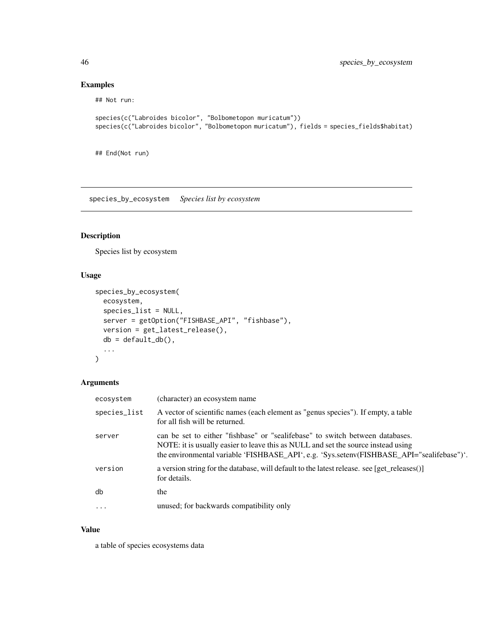# Examples

## Not run:

```
species(c("Labroides bicolor", "Bolbometopon muricatum"))
species(c("Labroides bicolor", "Bolbometopon muricatum"), fields = species_fields$habitat)
```
## End(Not run)

species\_by\_ecosystem *Species list by ecosystem*

# Description

Species list by ecosystem

# Usage

```
species_by_ecosystem(
 ecosystem,
  species_list = NULL,
 server = getOption("FISHBASE_API", "fishbase"),
 version = get_latest_release(),
 db = default_dbb(),...
\mathcal{L}
```
# Arguments

| ecosystem    | (character) an ecosystem name                                                                                                                                                                                                                                   |
|--------------|-----------------------------------------------------------------------------------------------------------------------------------------------------------------------------------------------------------------------------------------------------------------|
| species_list | A vector of scientific names (each element as "genus species"). If empty, a table<br>for all fish will be returned.                                                                                                                                             |
| server       | can be set to either "fishbase" or "sealifebase" to switch between databases.<br>NOTE: it is usually easier to leave this as NULL and set the source instead using<br>the environmental variable 'FISHBASE_API', e.g. 'Sys.setenv(FISHBASE_API="sealifebase")'. |
| version      | a version string for the database, will default to the latest release. see [get_releases()]<br>for details.                                                                                                                                                     |
| db           | the                                                                                                                                                                                                                                                             |
| $\cdots$     | unused; for backwards compatibility only                                                                                                                                                                                                                        |
|              |                                                                                                                                                                                                                                                                 |

#### Value

a table of species ecosystems data

<span id="page-45-0"></span>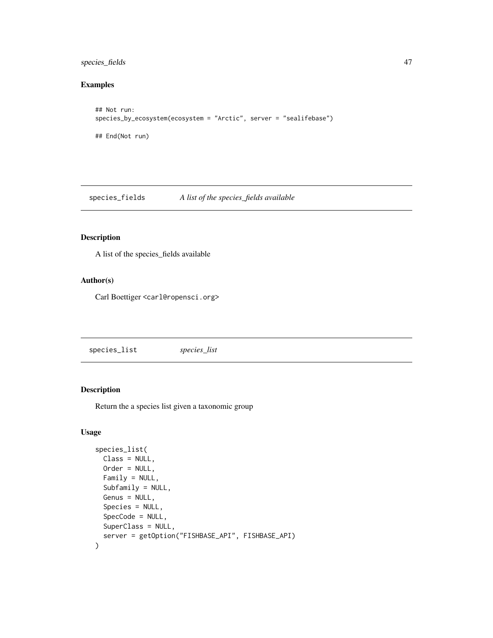# <span id="page-46-0"></span>species\_fields 47

# Examples

```
## Not run:
species_by_ecosystem(ecosystem = "Arctic", server = "sealifebase")
## End(Not run)
```
species\_fields *A list of the species\_fields available*

#### Description

A list of the species\_fields available

# Author(s)

Carl Boettiger <carl@ropensci.org>

<span id="page-46-1"></span>species\_list *species\_list*

# Description

Return the a species list given a taxonomic group

```
species_list(
 Class = NULL,
 Order = NULL,
  Family = NULL,
  Subfamily = NULL,
  Genus = NULL,
  Species = NULL,
  SpecCode = NULL,
  SuperClass = NULL,
  server = getOption("FISHBASE_API", FISHBASE_API)
\mathcal{E}
```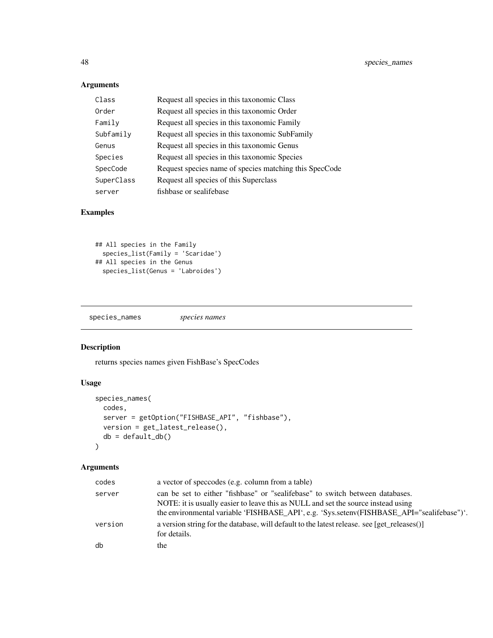# Arguments

| Class      | Request all species in this taxonomic Class            |
|------------|--------------------------------------------------------|
| Order      | Request all species in this taxonomic Order            |
| Family     | Request all species in this taxonomic Family           |
| Subfamily  | Request all species in this taxonomic SubFamily        |
| Genus      | Request all species in this taxonomic Genus            |
| Species    | Request all species in this taxonomic Species          |
| SpecCode   | Request species name of species matching this SpecCode |
| SuperClass | Request all species of this Superclass                 |
| server     | fishbase or sealifebase                                |

# Examples

```
## All species in the Family
 species_list(Family = 'Scaridae')
## All species in the Genus
 species_list(Genus = 'Labroides')
```
species\_names *species names*

# Description

returns species names given FishBase's SpecCodes

# Usage

```
species_names(
 codes,
 server = getOption("FISHBASE_API", "fishbase"),
 version = get_latest_release(),
 db = default_dbb())
```

| codes   | a vector of speccodes (e.g. column from a table)                                                                                                                                                                                                                |
|---------|-----------------------------------------------------------------------------------------------------------------------------------------------------------------------------------------------------------------------------------------------------------------|
| server  | can be set to either "fishbase" or "sealifebase" to switch between databases.<br>NOTE: it is usually easier to leave this as NULL and set the source instead using<br>the environmental variable 'FISHBASE_API', e.g. 'Sys.setenv(FISHBASE_API="sealifebase")'. |
| version | a version string for the database, will default to the latest release. see [get_releases()]<br>for details.                                                                                                                                                     |
| db      | the                                                                                                                                                                                                                                                             |

<span id="page-47-0"></span>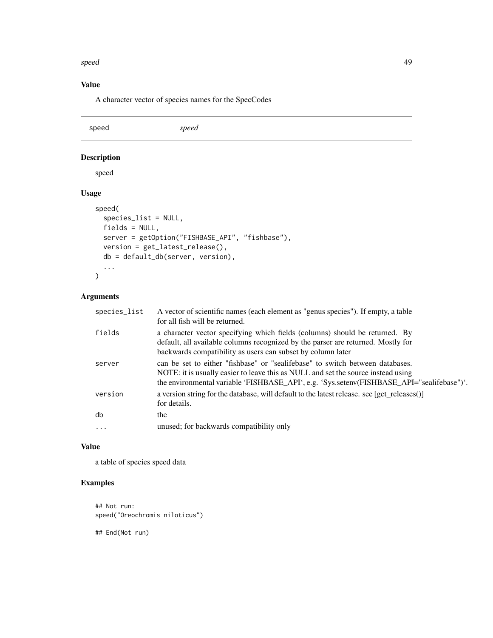#### <span id="page-48-0"></span>speed 49

# Value

A character vector of species names for the SpecCodes

speed *speed*

# Description

speed

# Usage

```
speed(
  species_list = NULL,
  fields = NULL,
  server = getOption("FISHBASE_API", "fishbase"),
  version = get_latest_release(),
  db = default_db(server, version),
  ...
\overline{\phantom{a}}
```
# Arguments

| species_list | A vector of scientific names (each element as "genus species"). If empty, a table<br>for all fish will be returned.                                                                                                                                             |
|--------------|-----------------------------------------------------------------------------------------------------------------------------------------------------------------------------------------------------------------------------------------------------------------|
| fields       | a character vector specifying which fields (columns) should be returned. By<br>default, all available columns recognized by the parser are returned. Mostly for<br>backwards compatibility as users can subset by column later                                  |
| server       | can be set to either "fishbase" or "sealifebase" to switch between databases.<br>NOTE: it is usually easier to leave this as NULL and set the source instead using<br>the environmental variable 'FISHBASE_API', e.g. 'Sys.setenv(FISHBASE_API="sealifebase")'. |
| version      | a version string for the database, will default to the latest release. see [get_releases()]<br>for details.                                                                                                                                                     |
| db           | the                                                                                                                                                                                                                                                             |
| $\ddots$ .   | unused; for backwards compatibility only                                                                                                                                                                                                                        |

## Value

a table of species speed data

# Examples

## Not run: speed("Oreochromis niloticus")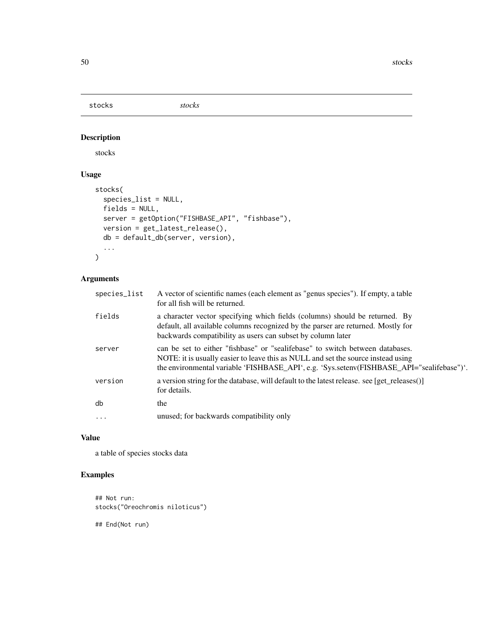<span id="page-49-0"></span>stocks *stocks*

# Description

stocks

# Usage

```
stocks(
  species_list = NULL,
 fields = NULL,
 server = getOption("FISHBASE_API", "fishbase"),
 version = get_latest_release(),
 db = default_db(server, version),
  ...
\mathcal{L}
```
# Arguments

| species_list | A vector of scientific names (each element as "genus species"). If empty, a table<br>for all fish will be returned.                                                                                                                                             |
|--------------|-----------------------------------------------------------------------------------------------------------------------------------------------------------------------------------------------------------------------------------------------------------------|
| fields       | a character vector specifying which fields (columns) should be returned. By<br>default, all available columns recognized by the parser are returned. Mostly for<br>backwards compatibility as users can subset by column later                                  |
| server       | can be set to either "fishbase" or "sealifebase" to switch between databases.<br>NOTE: it is usually easier to leave this as NULL and set the source instead using<br>the environmental variable 'FISHBASE_API', e.g. 'Sys.setenv(FISHBASE_API="sealifebase")'. |
| version      | a version string for the database, will default to the latest release. see [get_releases()]<br>for details.                                                                                                                                                     |
| db           | the                                                                                                                                                                                                                                                             |
| $\ddots$     | unused; for backwards compatibility only                                                                                                                                                                                                                        |
|              |                                                                                                                                                                                                                                                                 |

# Value

a table of species stocks data

# Examples

```
## Not run:
stocks("Oreochromis niloticus")
```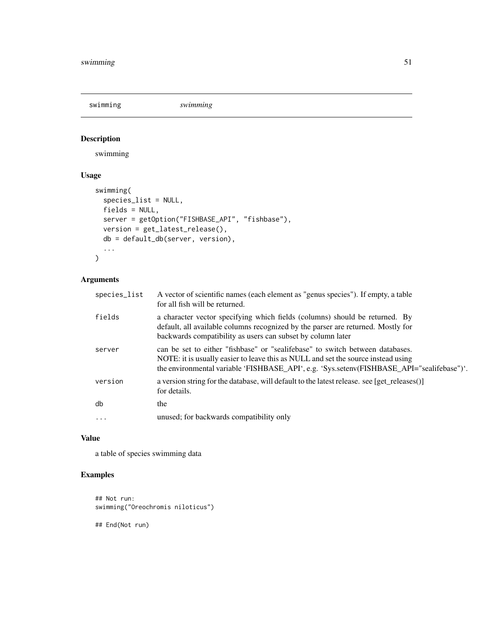<span id="page-50-0"></span>swimming *swimming*

# Description

swimming

# Usage

```
swimming(
  species_list = NULL,
 fields = NULL,
 server = getOption("FISHBASE_API", "fishbase"),
 version = get_latest_release(),
 db = default_db(server, version),
  ...
\mathcal{L}
```
# Arguments

| species_list | A vector of scientific names (each element as "genus species"). If empty, a table<br>for all fish will be returned.                                                                                                                                             |
|--------------|-----------------------------------------------------------------------------------------------------------------------------------------------------------------------------------------------------------------------------------------------------------------|
| fields       | a character vector specifying which fields (columns) should be returned. By<br>default, all available columns recognized by the parser are returned. Mostly for<br>backwards compatibility as users can subset by column later                                  |
| server       | can be set to either "fishbase" or "sealifebase" to switch between databases.<br>NOTE: it is usually easier to leave this as NULL and set the source instead using<br>the environmental variable 'FISHBASE_API', e.g. 'Sys.setenv(FISHBASE_API="sealifebase")'. |
| version      | a version string for the database, will default to the latest release. see [get releases()]<br>for details.                                                                                                                                                     |
| db           | the                                                                                                                                                                                                                                                             |
| $\ddots$     | unused; for backwards compatibility only                                                                                                                                                                                                                        |
|              |                                                                                                                                                                                                                                                                 |

# Value

a table of species swimming data

# Examples

```
## Not run:
swimming("Oreochromis niloticus")
```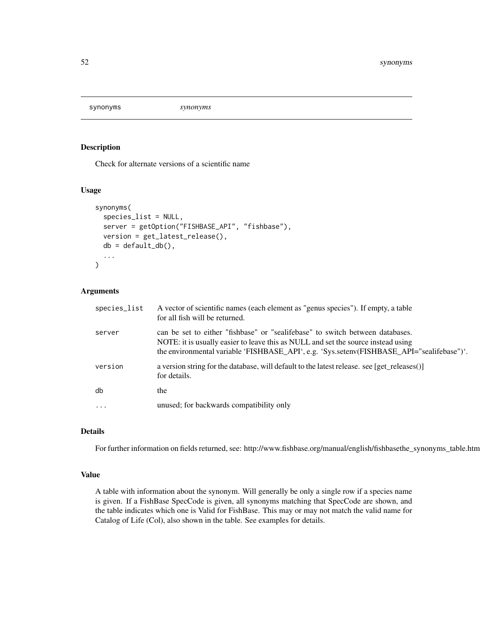<span id="page-51-1"></span><span id="page-51-0"></span>synonyms *synonyms*

#### Description

Check for alternate versions of a scientific name

# Usage

```
synonyms(
  species_list = NULL,
  server = getOption("FISHBASE_API", "fishbase"),
 version = get_latest_release(),
 db = default_dbb(),...
)
```
#### Arguments

| species_list | A vector of scientific names (each element as "genus species"). If empty, a table<br>for all fish will be returned.                                                                                                                                             |
|--------------|-----------------------------------------------------------------------------------------------------------------------------------------------------------------------------------------------------------------------------------------------------------------|
| server       | can be set to either "fishbase" or "sealifebase" to switch between databases.<br>NOTE: it is usually easier to leave this as NULL and set the source instead using<br>the environmental variable 'FISHBASE_API', e.g. 'Sys.setenv(FISHBASE_API="sealifebase")'. |
| version      | a version string for the database, will default to the latest release. see [get_releases()]<br>for details.                                                                                                                                                     |
| db           | the                                                                                                                                                                                                                                                             |
| $\ddots$ .   | unused; for backwards compatibility only                                                                                                                                                                                                                        |

# Details

For further information on fields returned, see: http://www.fishbase.org/manual/english/fishbasethe\_synonyms\_table.htm

# Value

A table with information about the synonym. Will generally be only a single row if a species name is given. If a FishBase SpecCode is given, all synonyms matching that SpecCode are shown, and the table indicates which one is Valid for FishBase. This may or may not match the valid name for Catalog of Life (Col), also shown in the table. See examples for details.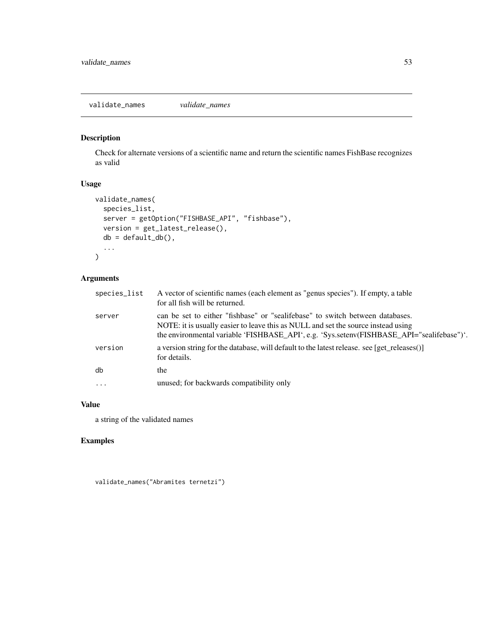# <span id="page-52-0"></span>Description

Check for alternate versions of a scientific name and return the scientific names FishBase recognizes as valid

# Usage

```
validate_names(
  species_list,
  server = getOption("FISHBASE_API", "fishbase"),
  version = get_latest_release(),
  db = default_d b(),
  ...
\mathcal{L}
```
# Arguments

| species_list | A vector of scientific names (each element as "genus species"). If empty, a table<br>for all fish will be returned.                                                                                                                                             |
|--------------|-----------------------------------------------------------------------------------------------------------------------------------------------------------------------------------------------------------------------------------------------------------------|
| server       | can be set to either "fishbase" or "sealifebase" to switch between databases.<br>NOTE: it is usually easier to leave this as NULL and set the source instead using<br>the environmental variable 'FISHBASE_API', e.g. 'Sys.setenv(FISHBASE_API="sealifebase")'. |
| version      | a version string for the database, will default to the latest release. see [get releases()]<br>for details.                                                                                                                                                     |
| db           | the                                                                                                                                                                                                                                                             |
| $\ddots$     | unused; for backwards compatibility only                                                                                                                                                                                                                        |

#### Value

a string of the validated names

# Examples

validate\_names("Abramites ternetzi")